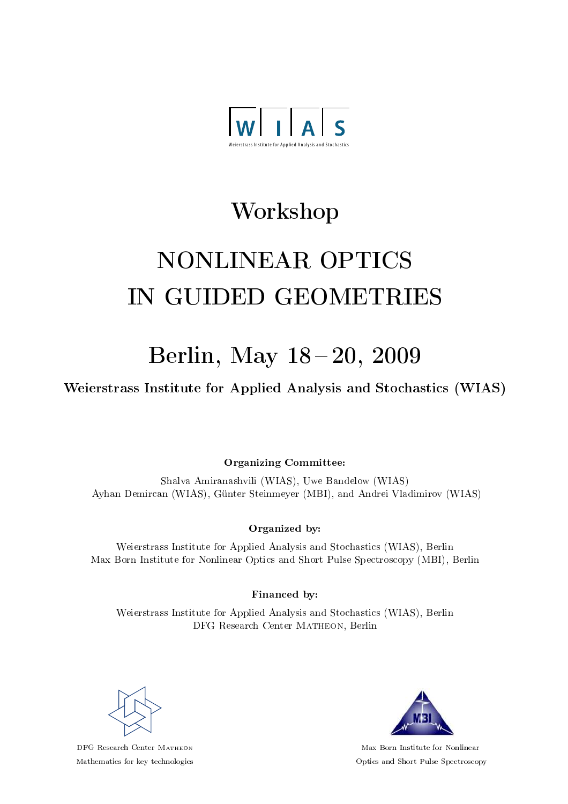

## Workshop

# NONLINEAR OPTICS IN GUIDED GEOMETRIES

## Berlin, May 18 - 20, 2009

Weierstrass Institute for Applied Analysis and Stochastics (WIAS)

Organizing Committee:

Shalva Amiranashvili (WIAS), Uwe Bandelow (WIAS) Ayhan Demircan (WIAS), Günter Steinmeyer (MBI), and Andrei Vladimirov (WIAS)

#### Organized by:

Weierstrass Institute for Applied Analysis and Stochastics (WIAS), Berlin Max Born Institute for Nonlinear Optics and Short Pulse Spectroscopy (MBI), Berlin

Financed by:

Weierstrass Institute for Applied Analysis and Stochastics (WIAS), Berlin DFG Research Center MATHEON, Berlin



DFG Research Center Matheon Mathematics for key technologies



Max Born Institute for Nonlinear Optics and Short Pulse Spectroscopy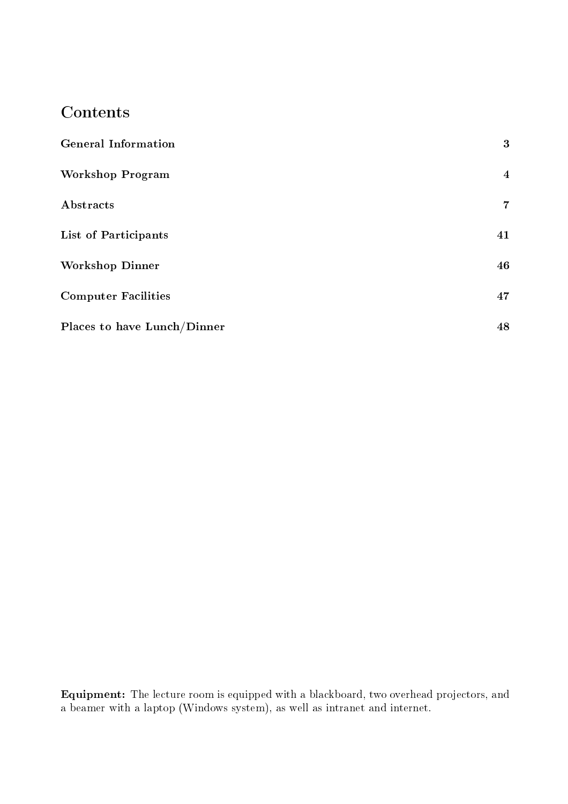### **Contents**

| <b>General Information</b>  | 3              |
|-----------------------------|----------------|
| <b>Workshop Program</b>     | $\overline{4}$ |
| Abstracts                   | $\overline{7}$ |
| List of Participants        | 41             |
| <b>Workshop Dinner</b>      | 46             |
| <b>Computer Facilities</b>  | 47             |
| Places to have Lunch/Dinner | 48             |

Equipment: The lecture room is equipped with a blackboard, two overhead projectors, and a beamer with a laptop (Windows system), as well as intranet and internet.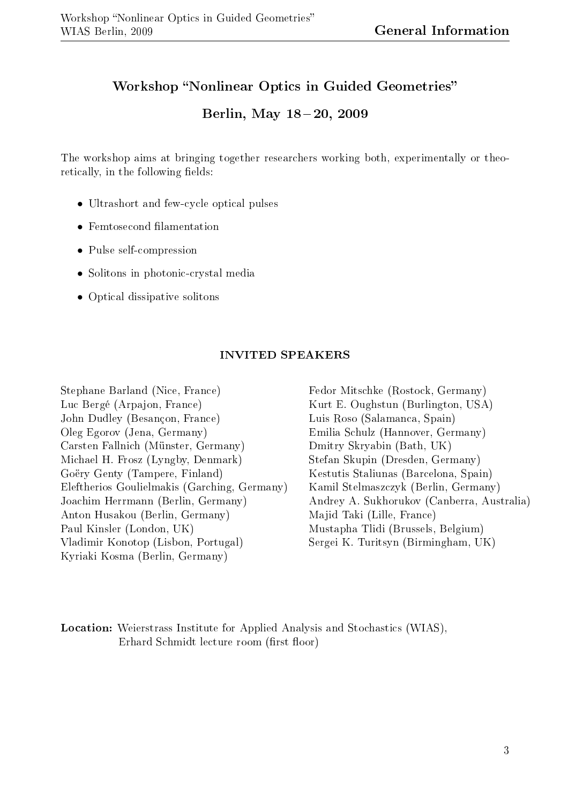#### Workshop "Nonlinear Optics in Guided Geometries"

#### Berlin, May 18-20, 2009

The workshop aims at bringing together researchers working both, experimentally or theoretically, in the following fields:

- Ultrashort and few-cycle optical pulses
- Femtosecond filamentation
- Pulse self-compression
- Solitons in photonic-crystal media
- Optical dissipative solitons

#### INVITED SPEAKERS

Stephane Barland (Nice, France) Luc Bergé (Arpajon, France) John Dudley (Besançon, France) Oleg Egorov (Jena, Germany) Carsten Fallnich (Münster, Germany) Michael H. Frosz (Lyngby, Denmark) Goëry Genty (Tampere, Finland) Eleftherios Goulielmakis (Garching, Germany) Joachim Herrmann (Berlin, Germany) Anton Husakou (Berlin, Germany) Paul Kinsler (London, UK) Vladimir Konotop (Lisbon, Portugal) Kyriaki Kosma (Berlin, Germany)

Fedor Mitschke (Rostock, Germany) Kurt E. Oughstun (Burlington, USA) Luis Roso (Salamanca, Spain) Emilia Schulz (Hannover, Germany) Dmitry Skryabin (Bath, UK) Stefan Skupin (Dresden, Germany) Kestutis Staliunas (Barcelona, Spain) Kamil Stelmaszczyk (Berlin, Germany) Andrey A. Sukhorukov (Canberra, Australia) Majid Taki (Lille, France) Mustapha Tlidi (Brussels, Belgium) Sergei K. Turitsyn (Birmingham, UK)

Location: Weierstrass Institute for Applied Analysis and Stochastics (WIAS), Erhard Schmidt lecture room (first floor)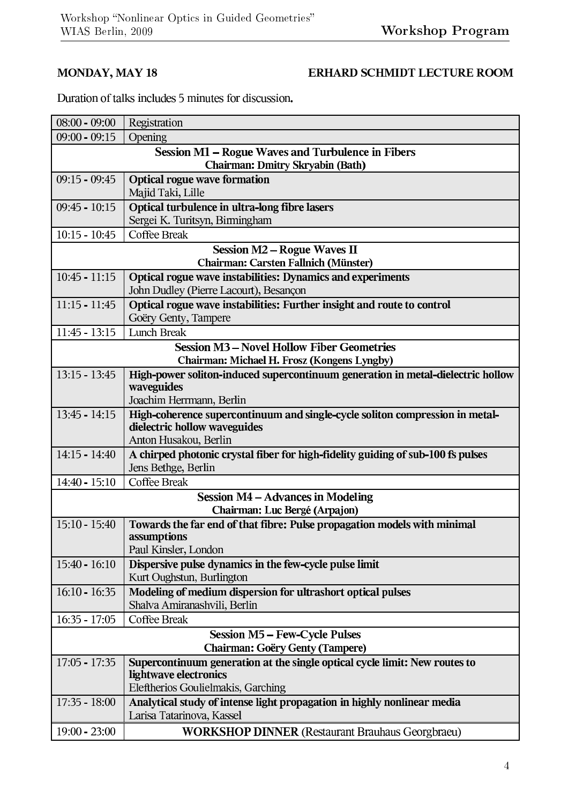#### **MONDAY, MAY 18**

#### ERHARD SCHMIDT LECTURE ROOM

Duration of talks includes 5 minutes for discussion.

| $08:00 - 09:00$                                   | Registration                                                                        |  |
|---------------------------------------------------|-------------------------------------------------------------------------------------|--|
| $09:00 - 09:15$                                   | Opening                                                                             |  |
| Session M1 - Rogue Waves and Turbulence in Fibers |                                                                                     |  |
|                                                   | <b>Chairman: Dmitry Skryabin (Bath)</b>                                             |  |
| $09:15 - 09:45$                                   | <b>Optical rogue wave formation</b>                                                 |  |
|                                                   | Majid Taki, Lille                                                                   |  |
| $09:45 - 10:15$                                   | Optical turbulence in ultra-long fibre lasers<br>Sergei K. Turitsyn, Birmingham     |  |
| $10:15 - 10:45$                                   | <b>Coffee Break</b>                                                                 |  |
|                                                   | <b>Session M2 – Rogue Waves II</b>                                                  |  |
|                                                   | Chairman: Carsten Fallnich (Münster)                                                |  |
| $10:45 - 11:15$                                   | Optical rogue wave instabilities: Dynamics and experiments                          |  |
|                                                   | John Dudley (Pierre Lacourt), Besançon                                              |  |
| $11:15 - 11:45$                                   | Optical rogue wave instabilities: Further insight and route to control              |  |
|                                                   | Goëry Genty, Tampere                                                                |  |
| $11:45 - 13:15$                                   | Lunch Break                                                                         |  |
| <b>Session M3 - Novel Hollow Fiber Geometries</b> |                                                                                     |  |
|                                                   | Chairman: Michael H. Frosz (Kongens Lyngby)                                         |  |
| $13:15 - 13:45$                                   | High-power soliton-induced supercontinuum generation in metal-dielectric hollow     |  |
|                                                   | waveguides<br>Joachim Herrmann, Berlin                                              |  |
| $13:45 - 14:15$                                   | High-coherence supercontinuum and single-cycle soliton compression in metal-        |  |
|                                                   | dielectric hollow waveguides                                                        |  |
|                                                   | Anton Husakou, Berlin                                                               |  |
| 14:15 - 14:40                                     | A chirped photonic crystal fiber for high-fidelity guiding of sub-100 fs pulses     |  |
|                                                   | Jens Bethge, Berlin                                                                 |  |
| $14:40 - 15:10$                                   | <b>Coffee Break</b>                                                                 |  |
|                                                   | <b>Session M4 - Advances in Modeling</b>                                            |  |
|                                                   | Chairman: Luc Bergé (Arpajon)                                                       |  |
| $15:10 - 15:40$                                   | Towards the far end of that fibre: Pulse propagation models with minimal            |  |
|                                                   | assumptions                                                                         |  |
|                                                   | Paul Kinsler, London                                                                |  |
| $15:40 - 16:10$                                   | Dispersive pulse dynamics in the few-cycle pulse limit<br>Kurt Oughstun, Burlington |  |
| $16:10 - 16:35$                                   | Modeling of medium dispersion for ultrashort optical pulses                         |  |
|                                                   | Shalva Amiranashvili, Berlin                                                        |  |
| $16:35 - 17:05$                                   | <b>Coffee Break</b>                                                                 |  |
|                                                   | <b>Session M5 – Few-Cycle Pulses</b>                                                |  |
| Chairman: Goëry Genty (Tampere)                   |                                                                                     |  |
| $17:05 - 17:35$                                   | Supercontinuum generation at the single optical cycle limit: New routes to          |  |
|                                                   | lightwave electronics                                                               |  |
|                                                   | Eleftherios Goulielmakis, Garching                                                  |  |
| $17:35 - 18:00$                                   | Analytical study of intense light propagation in highly nonlinear media             |  |
|                                                   | Larisa Tatarinova, Kassel                                                           |  |
| 19:00 - 23:00                                     | <b>WORKSHOP DINNER</b> (Restaurant Brauhaus Georgbraeu)                             |  |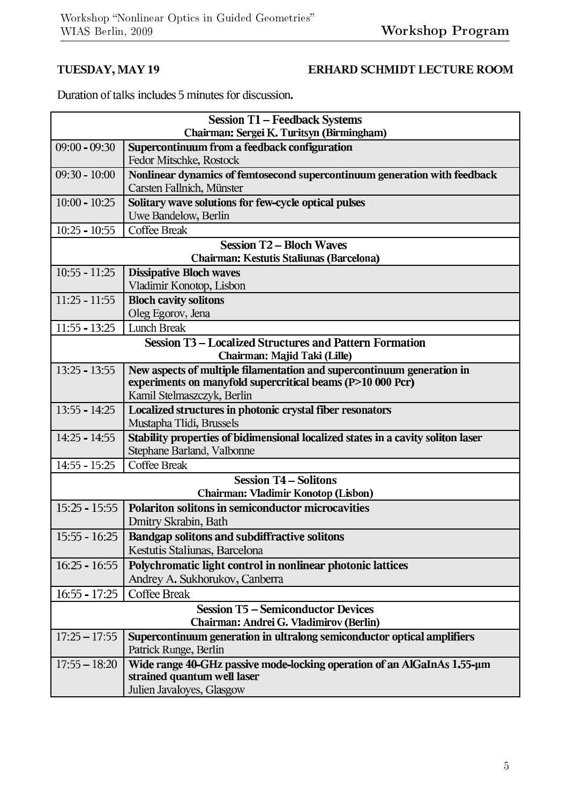#### TUESDAY, MAY 19

#### ERHARD SCHMIDT LECTURE ROOM

Duration of talks includes 5 minutes for discussion.

| <b>Session T1 - Feedback Systems</b>                                                           |                                                                                  |  |
|------------------------------------------------------------------------------------------------|----------------------------------------------------------------------------------|--|
| Chairman: Sergei K. Turitsyn (Birmingham)                                                      |                                                                                  |  |
| $09:00 - 09:30$                                                                                | Supercontinuum from a feedback configuration<br>Fedor Mitschke, Rostock          |  |
| $09:30 - 10:00$                                                                                | Nonlinear dynamics of femtosecond supercontinuum generation with feedback        |  |
|                                                                                                | Carsten Fallnich, Münster                                                        |  |
| $10:00 - 10:25$                                                                                | Solitary wave solutions for few-cycle optical pulses                             |  |
|                                                                                                | Uwe Bandelow, Berlin                                                             |  |
| $10:25 - 10:55$                                                                                | <b>Coffee Break</b>                                                              |  |
|                                                                                                | <b>Session T2 – Bloch Waves</b><br>Chairman: Kestutis Staliunas (Barcelona)      |  |
| $10:55 - 11:25$                                                                                | <b>Dissipative Bloch waves</b>                                                   |  |
|                                                                                                | Vladimir Konotop, Lisbon                                                         |  |
| $11:25 - 11:55$                                                                                | <b>Bloch cavity solitons</b>                                                     |  |
|                                                                                                | Oleg Egorov, Jena                                                                |  |
| $11:55 - 13:25$                                                                                | <b>Lunch Break</b>                                                               |  |
| <b>Session T3 - Localized Structures and Pattern Formation</b><br>Chairman: Majid Taki (Lille) |                                                                                  |  |
| $13:25 - 13:55$                                                                                | New aspects of multiple filamentation and supercontinuum generation in           |  |
|                                                                                                | experiments on manyfold supercritical beams (P>10 000 Pcr)                       |  |
|                                                                                                | Kamil Stelmaszczyk, Berlin                                                       |  |
| $13:55 - 14:25$                                                                                | Localized structures in photonic crystal fiber resonators                        |  |
|                                                                                                | Mustapha Tlidi, Brussels                                                         |  |
| $14:25 - 14:55$                                                                                | Stability properties of bidimensional localized states in a cavity soliton laser |  |
|                                                                                                | Stephane Barland, Valbonne                                                       |  |
| $14:55 - 15:25$                                                                                | <b>Coffee Break</b>                                                              |  |
|                                                                                                | <b>Session T4 – Solitons</b>                                                     |  |
|                                                                                                | Chairman: Vladimir Konotop (Lisbon)                                              |  |
| $15:25 - 15:55$                                                                                | Polariton solitons in semiconductor microcavities                                |  |
|                                                                                                | Dmitry Skrabin, Bath                                                             |  |
|                                                                                                | 15:55 - 16:25   Bandgap solitons and subdiffractive solitons                     |  |
|                                                                                                | Kestutis Staliunas, Barcelona                                                    |  |
| $16:25 - 16:55$                                                                                | Polychromatic light control in nonlinear photonic lattices                       |  |
|                                                                                                | Andrey A. Sukhorukov, Canberra                                                   |  |
| $16:55 - 17:25$                                                                                | <b>Coffee Break</b>                                                              |  |
| <b>Session T5 - Semiconductor Devices</b>                                                      |                                                                                  |  |
| Chairman: Andrei G. Vladimirov (Berlin)                                                        |                                                                                  |  |
| $17:25 - 17:55$                                                                                | Supercontinuum generation in ultralong semiconductor optical amplifiers          |  |
|                                                                                                | Patrick Runge, Berlin                                                            |  |
| $17:55 - 18:20$                                                                                | Wide range 40-GHz passive mode-locking operation of an AlGaInAs 1.55-µm          |  |
|                                                                                                | strained quantum well laser                                                      |  |
|                                                                                                | Julien Javaloyes, Glasgow                                                        |  |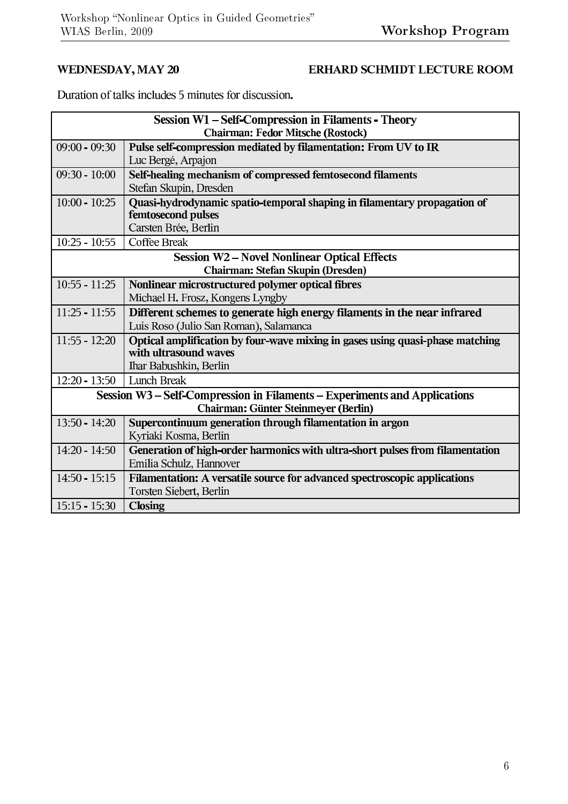#### WEDNESDAY, MAY 20

#### ERHARD SCHMIDT LECTURE ROOM

Duration of talks includes 5 minutes for discussion.

| <b>Session W1 - Self-Compression in Filaments - Theory</b> |                                                                               |  |  |
|------------------------------------------------------------|-------------------------------------------------------------------------------|--|--|
| <b>Chairman: Fedor Mitsche (Rostock)</b>                   |                                                                               |  |  |
| $09:00 - 09:30$                                            | Pulse self-compression mediated by filamentation: From UV to IR               |  |  |
|                                                            | Luc Bergé, Arpajon                                                            |  |  |
| $09:30 - 10:00$                                            | Self-healing mechanism of compressed femtosecond filaments                    |  |  |
|                                                            | Stefan Skupin, Dresden                                                        |  |  |
| $10:00 - 10:25$                                            | Quasi-hydrodynamic spatio-temporal shaping in filamentary propagation of      |  |  |
|                                                            | femtosecond pulses                                                            |  |  |
|                                                            | Carsten Brée, Berlin                                                          |  |  |
| $10:25 - 10:55$                                            | <b>Coffee Break</b>                                                           |  |  |
| <b>Session W2 - Novel Nonlinear Optical Effects</b>        |                                                                               |  |  |
|                                                            | Chairman: Stefan Skupin (Dresden)                                             |  |  |
| $10:55 - 11:25$                                            | Nonlinear microstructured polymer optical fibres                              |  |  |
|                                                            | Michael H. Frosz, Kongens Lyngby                                              |  |  |
| $11:25 - 11:55$                                            | Different schemes to generate high energy filaments in the near infrared      |  |  |
|                                                            | Luis Roso (Julio San Roman), Salamanca                                        |  |  |
| $11:55 - 12:20$                                            | Optical amplification by four-wave mixing in gases using quasi-phase matching |  |  |
|                                                            | with ultrasound waves                                                         |  |  |
|                                                            | Ihar Babushkin, Berlin                                                        |  |  |
| $12:20 - 13:50$                                            | <b>Lunch Break</b>                                                            |  |  |
|                                                            | Session W3 - Self-Compression in Filaments - Experiments and Applications     |  |  |
| Chairman: Günter Steinmeyer (Berlin)                       |                                                                               |  |  |
| $13:50 - 14:20$                                            | Supercontinuum generation through filamentation in argon                      |  |  |
|                                                            | Kyriaki Kosma, Berlin                                                         |  |  |
| $14:20 - 14:50$                                            | Generation of high-order harmonics with ultra-short pulses from filamentation |  |  |
|                                                            | Emilia Schulz, Hannover                                                       |  |  |
| $14:50 - 15:15$                                            | Filamentation: A versatile source for advanced spectroscopic applications     |  |  |
|                                                            | Torsten Siebert, Berlin                                                       |  |  |
| $15:15 - 15:30$                                            | <b>Closing</b>                                                                |  |  |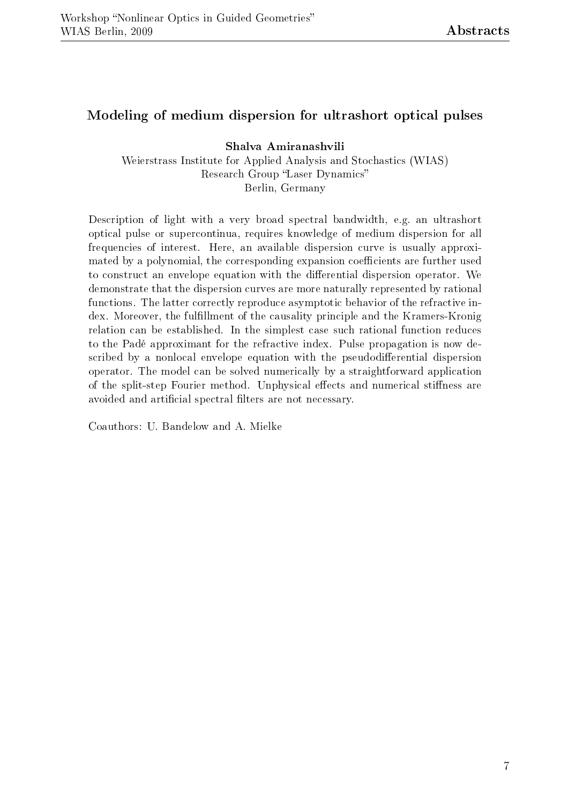#### Modeling of medium dispersion for ultrashort optical pulses

Shalva Amiranashvili

Weierstrass Institute for Applied Analysis and Stochastics (WIAS) Research Group "Laser Dynamics" Berlin, Germany

Description of light with a very broad spectral bandwidth, e.g. an ultrashort optical pulse or supercontinua, requires knowledge of medium dispersion for all frequencies of interest. Here, an available dispersion curve is usually approximated by a polynomial, the corresponding expansion coefficients are further used to construct an envelope equation with the differential dispersion operator. We demonstrate that the dispersion curves are more naturally represented by rational functions. The latter correctly reproduce asymptotic behavior of the refractive index. Moreover, the fulllment of the causality principle and the Kramers-Kronig relation can be established. In the simplest case such rational function reduces to the Padé approximant for the refractive index. Pulse propagation is now described by a nonlocal envelope equation with the pseudodifferential dispersion operator. The model can be solved numerically by a straightforward application of the split-step Fourier method. Unphysical effects and numerical stiffness are avoided and artificial spectral filters are not necessary.

Coauthors: U. Bandelow and A. Mielke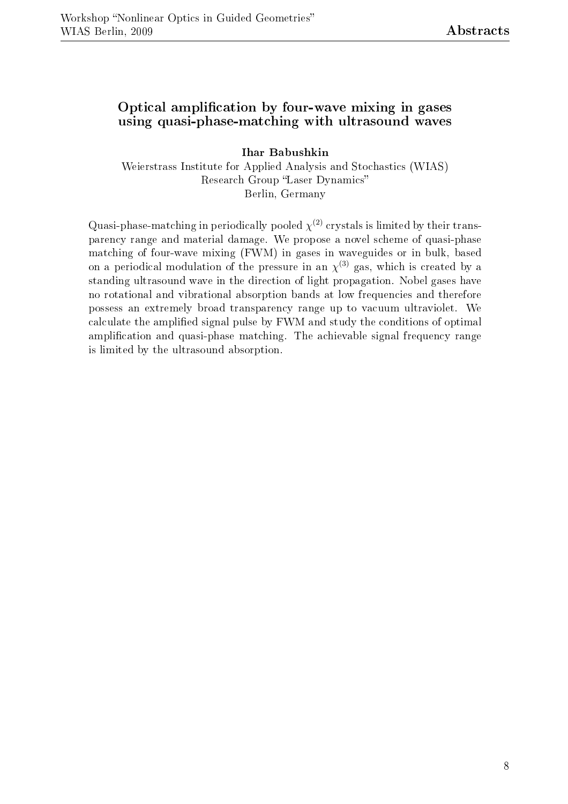#### Optical amplication by four-wave mixing in gases using quasi-phase-matching with ultrasound waves

Ihar Babushkin Weierstrass Institute for Applied Analysis and Stochastics (WIAS) Research Group "Laser Dynamics" Berlin, Germany

Quasi-phase-matching in periodically pooled  $\chi^{(2)}$  crystals is limited by their transparency range and material damage. We propose a novel scheme of quasi-phase matching of four-wave mixing (FWM) in gases in waveguides or in bulk, based on a periodical modulation of the pressure in an  $\chi^{(3)}$  gas, which is created by a standing ultrasound wave in the direction of light propagation. Nobel gases have no rotational and vibrational absorption bands at low frequencies and therefore possess an extremely broad transparency range up to vacuum ultraviolet. We calculate the amplied signal pulse by FWM and study the conditions of optimal amplification and quasi-phase matching. The achievable signal frequency range is limited by the ultrasound absorption.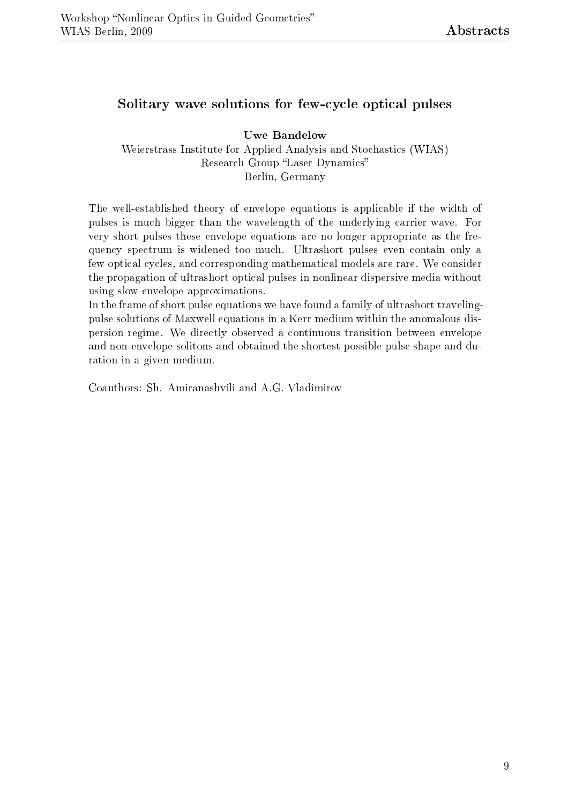#### Solitary wave solutions for few-cycle optical pulses

Uwe Bandelow Weierstrass Institute for Applied Analysis and Stochastics (WIAS) Research Group "Laser Dynamics" Berlin, Germany

The well-established theory of envelope equations is applicable if the width of pulses is much bigger than the wavelength of the underlying carrier wave. For very short pulses these envelope equations are no longer appropriate as the frequency spectrum is widened too much. Ultrashort pulses even contain only a few optical cycles, and corresponding mathematical models are rare. We consider the propagation of ultrashort optical pulses in nonlinear dispersive media without using slow envelope approximations.

In the frame of short pulse equations we have found a family of ultrashort travelingpulse solutions of Maxwell equations in a Kerr medium within the anomalous dispersion regime. We directly observed a continuous transition between envelope and non-envelope solitons and obtained the shortest possible pulse shape and duration in a given medium.

Coauthors: Sh. Amiranashvili and A.G. Vladimirov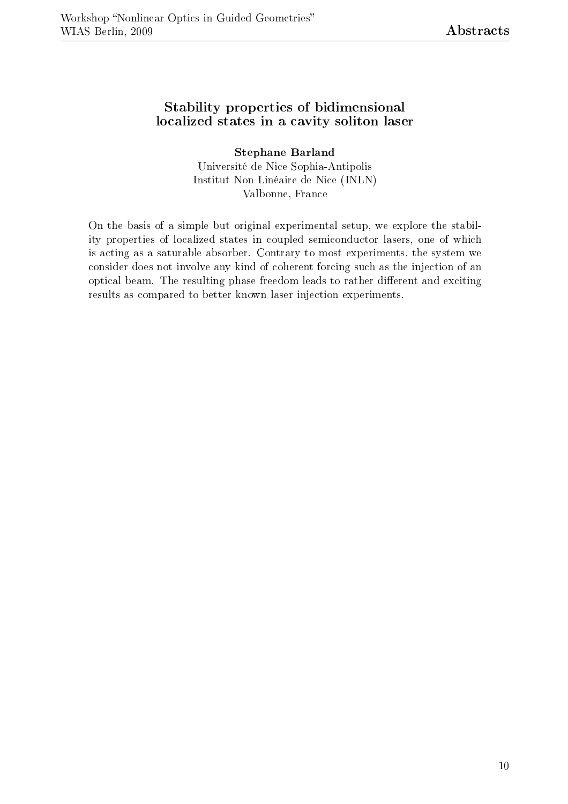#### Stability properties of bidimensional localized states in a cavity soliton laser

Stephane Barland Université de Nice Sophia-Antipolis Institut Non Linéaire de Nice (INLN) Valbonne, France

On the basis of a simple but original experimental setup, we explore the stability properties of localized states in coupled semiconductor lasers, one of which is acting as a saturable absorber. Contrary to most experiments, the system we consider does not involve any kind of coherent forcing such as the injection of an optical beam. The resulting phase freedom leads to rather different and exciting results as compared to better known laser injection experiments.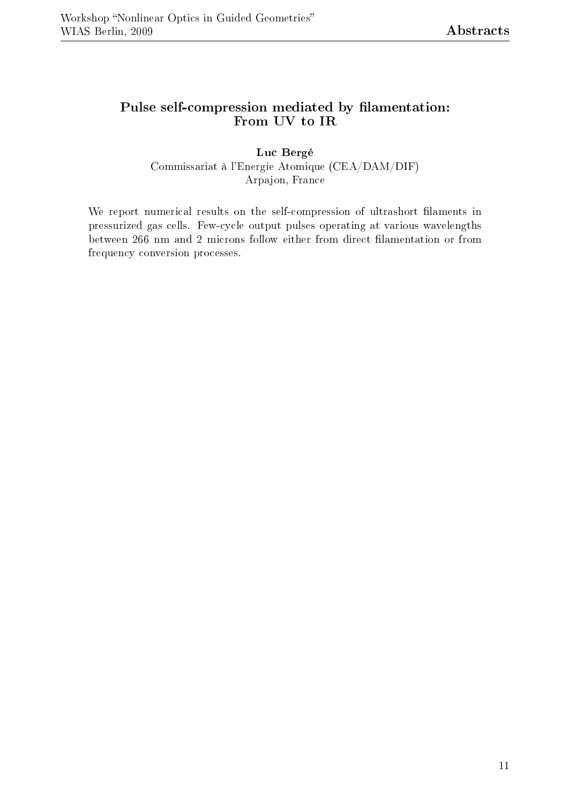#### Pulse self-compression mediated by filamentation: From UV to IR

Luc Bergé Commissariat à l'Energie Atomique (CEA/DAM/DIF) Arpajon, France

We report numerical results on the self-compression of ultrashort filaments in pressurized gas cells. Few-cycle output pulses operating at various wavelengths between 266 nm and 2 microns follow either from direct filamentation or from frequency conversion processes.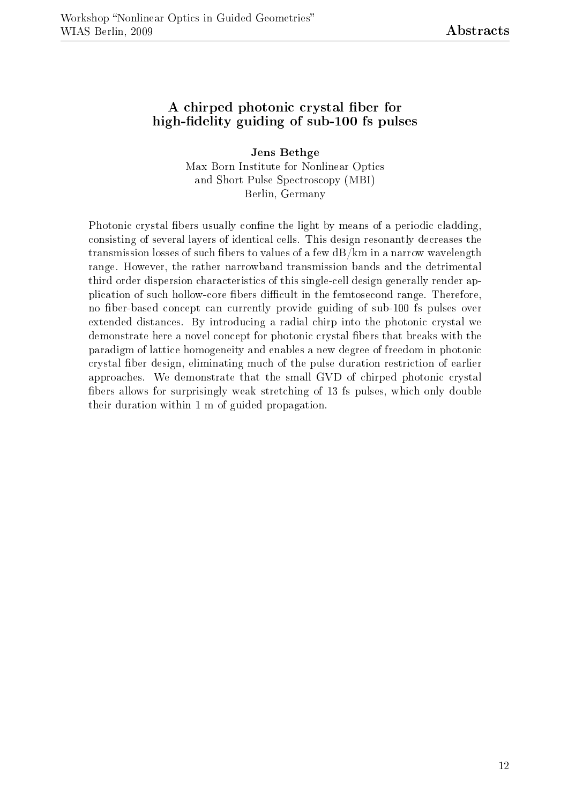#### A chirped photonic crystal fiber for high-fidelity guiding of sub-100 fs pulses

Jens Bethge Max Born Institute for Nonlinear Optics and Short Pulse Spectroscopy (MBI) Berlin, Germany

Photonic crystal fibers usually confine the light by means of a periodic cladding. consisting of several layers of identical cells. This design resonantly decreases the transmission losses of such fibers to values of a few  $dB/km$  in a narrow wavelength range. However, the rather narrowband transmission bands and the detrimental third order dispersion characteristics of this single-cell design generally render application of such hollow-core fibers difficult in the femtosecond range. Therefore, no fiber-based concept can currently provide guiding of sub-100 fs pulses over extended distances. By introducing a radial chirp into the photonic crystal we demonstrate here a novel concept for photonic crystal fibers that breaks with the paradigm of lattice homogeneity and enables a new degree of freedom in photonic crystal ber design, eliminating much of the pulse duration restriction of earlier approaches. We demonstrate that the small GVD of chirped photonic crystal bers allows for surprisingly weak stretching of 13 fs pulses, which only double their duration within 1 m of guided propagation.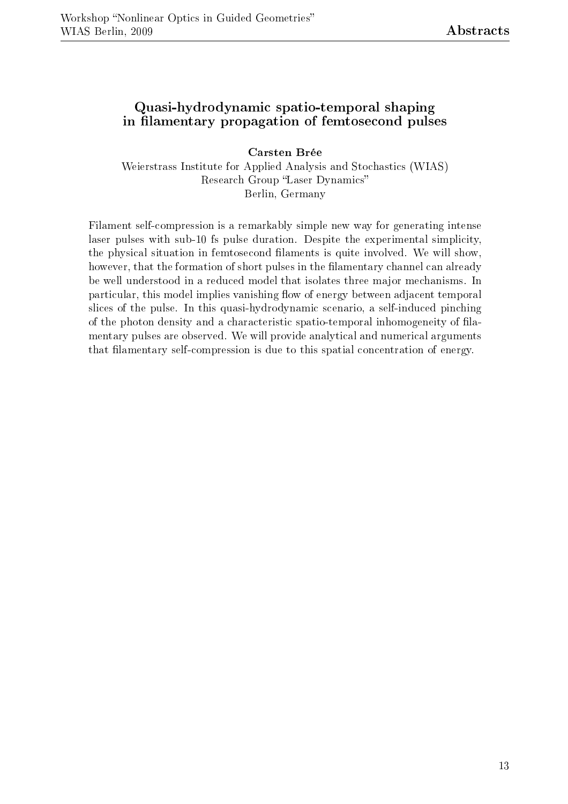#### Quasi-hydrodynamic spatio-temporal shaping in filamentary propagation of femtosecond pulses

Carsten Brée

Weierstrass Institute for Applied Analysis and Stochastics (WIAS) Research Group "Laser Dynamics" Berlin, Germany

Filament self-compression is a remarkably simple new way for generating intense laser pulses with sub-10 fs pulse duration. Despite the experimental simplicity, the physical situation in femtosecond filaments is quite involved. We will show, however, that the formation of short pulses in the filamentary channel can already be well understood in a reduced model that isolates three major mechanisms. In particular, this model implies vanishing flow of energy between adjacent temporal slices of the pulse. In this quasi-hydrodynamic scenario, a self-induced pinching of the photon density and a characteristic spatio-temporal inhomogeneity of lamentary pulses are observed. We will provide analytical and numerical arguments that filamentary self-compression is due to this spatial concentration of energy.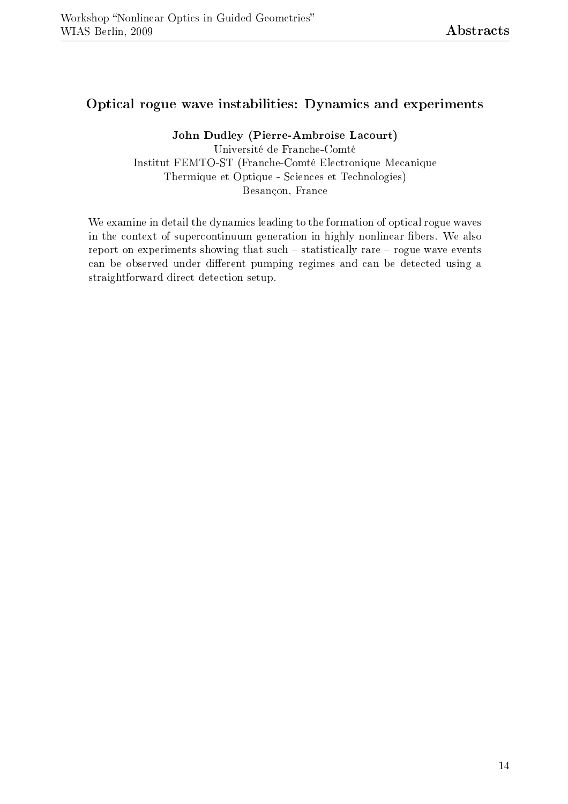#### Optical rogue wave instabilities: Dynamics and experiments

John Dudley (Pierre-Ambroise Lacourt)

Université de Franche-Comté Institut FEMTO-ST (Franche-Comté Electronique Mecanique Thermique et Optique - Sciences et Technologies) Besançon, France

We examine in detail the dynamics leading to the formation of optical rogue waves in the context of supercontinuum generation in highly nonlinear fibers. We also report on experiments showing that such  $-$  statistically rare  $-$  rogue wave events can be observed under different pumping regimes and can be detected using a straightforward direct detection setup.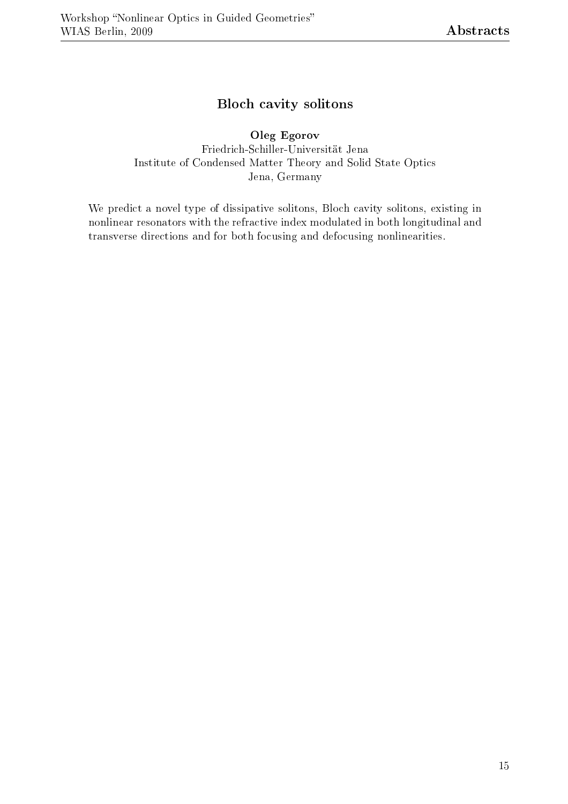#### Bloch cavity solitons

#### Oleg Egorov

Friedrich-Schiller-Universität Jena Institute of Condensed Matter Theory and Solid State Optics Jena, Germany

We predict a novel type of dissipative solitons, Bloch cavity solitons, existing in nonlinear resonators with the refractive index modulated in both longitudinal and transverse directions and for both focusing and defocusing nonlinearities.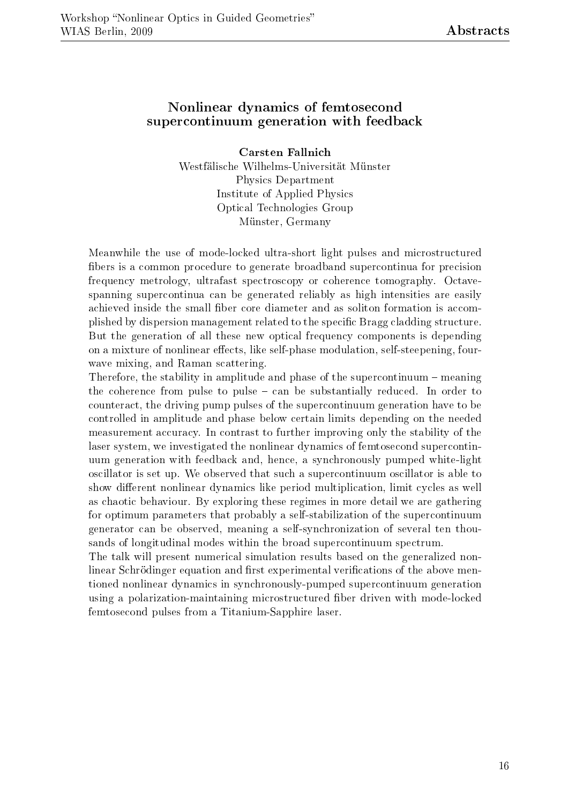#### Nonlinear dynamics of femtosecond supercontinuum generation with feedback

Carsten Fallnich Westfälische Wilhelms-Universität Münster Physics Department Institute of Applied Physics Optical Technologies Group Münster, Germany

Meanwhile the use of mode-locked ultra-short light pulses and microstructured bers is a common procedure to generate broadband supercontinua for precision frequency metrology, ultrafast spectroscopy or coherence tomography. Octavespanning supercontinua can be generated reliably as high intensities are easily achieved inside the small fiber core diameter and as soliton formation is accomplished by dispersion management related to the specic Bragg cladding structure. But the generation of all these new optical frequency components is depending on a mixture of nonlinear effects, like self-phase modulation, self-steepening, fourwave mixing, and Raman scattering.

Therefore, the stability in amplitude and phase of the supercontinuum  $-$  meaning the coherence from pulse to pulse  $-\text{ can be substantially reduced}$ . In order to counteract, the driving pump pulses of the supercontinuum generation have to be controlled in amplitude and phase below certain limits depending on the needed measurement accuracy. In contrast to further improving only the stability of the laser system, we investigated the nonlinear dynamics of femtosecond supercontinuum generation with feedback and, hence, a synchronously pumped white-light oscillator is set up. We observed that such a supercontinuum oscillator is able to show different nonlinear dynamics like period multiplication, limit cycles as well as chaotic behaviour. By exploring these regimes in more detail we are gathering for optimum parameters that probably a self-stabilization of the supercontinuum generator can be observed, meaning a self-synchronization of several ten thousands of longitudinal modes within the broad supercontinuum spectrum.

The talk will present numerical simulation results based on the generalized nonlinear Schrödinger equation and first experimental verifications of the above mentioned nonlinear dynamics in synchronously-pumped supercontinuum generation using a polarization-maintaining microstructured ber driven with mode-locked femtosecond pulses from a Titanium-Sapphire laser.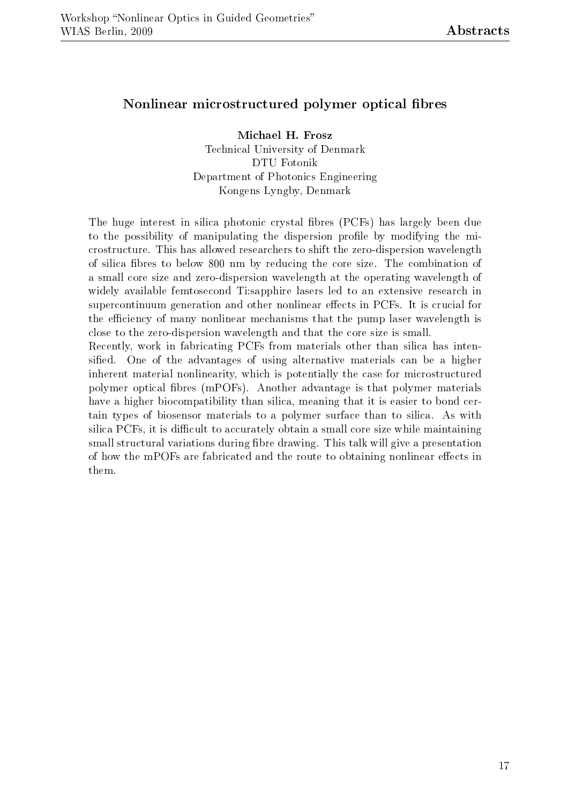#### Nonlinear microstructured polymer optical fibres

Michael H. Frosz Technical University of Denmark DTU Fotonik Department of Photonics Engineering Kongens Lyngby, Denmark

The huge interest in silica photonic crystal fibres (PCFs) has largely been due to the possibility of manipulating the dispersion profile by modifying the microstructure. This has allowed researchers to shift the zero-dispersion wavelength of silica fibres to below 800 nm by reducing the core size. The combination of a small core size and zero-dispersion wavelength at the operating wavelength of widely available femtosecond Ti:sapphire lasers led to an extensive research in supercontinuum generation and other nonlinear effects in PCFs. It is crucial for the efficiency of many nonlinear mechanisms that the pump laser wavelength is close to the zero-dispersion wavelength and that the core size is small.

Recently, work in fabricating PCFs from materials other than silica has intensified. One of the advantages of using alternative materials can be a higher inherent material nonlinearity, which is potentially the case for microstructured polymer optical bres (mPOFs). Another advantage is that polymer materials have a higher biocompatibility than silica, meaning that it is easier to bond certain types of biosensor materials to a polymer surface than to silica. As with silica PCFs, it is difficult to accurately obtain a small core size while maintaining small structural variations during fibre drawing. This talk will give a presentation of how the mPOFs are fabricated and the route to obtaining nonlinear effects in them.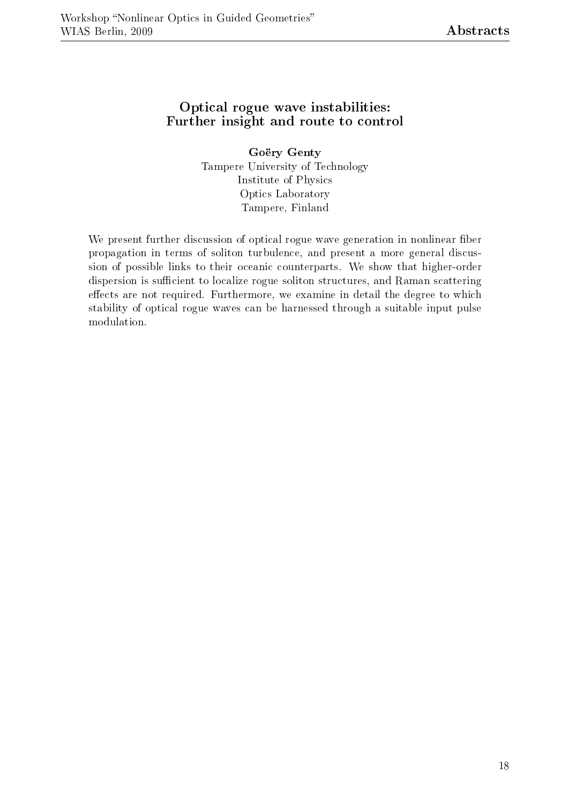#### Optical rogue wave instabilities: Further insight and route to control

Goëry Genty Tampere University of Technology Institute of Physics Optics Laboratory Tampere, Finland

We present further discussion of optical rogue wave generation in nonlinear fiber propagation in terms of soliton turbulence, and present a more general discussion of possible links to their oceanic counterparts. We show that higher-order dispersion is sufficient to localize rogue soliton structures, and Raman scattering effects are not required. Furthermore, we examine in detail the degree to which stability of optical rogue waves can be harnessed through a suitable input pulse modulation.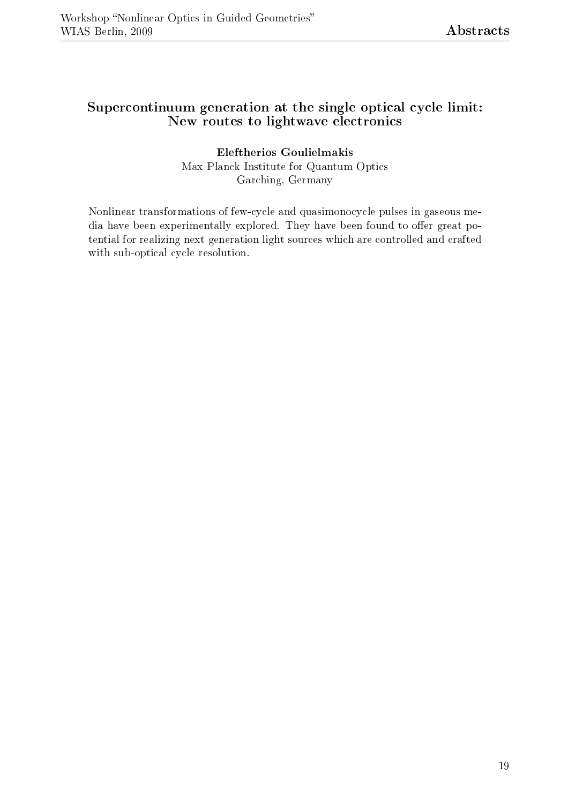#### Supercontinuum generation at the single optical cycle limit: New routes to lightwave electronics

#### Eleftherios Goulielmakis Max Planck Institute for Quantum Optics Garching, Germany

Nonlinear transformations of few-cycle and quasimonocycle pulses in gaseous media have been experimentally explored. They have been found to offer great potential for realizing next generation light sources which are controlled and crafted with sub-optical cycle resolution.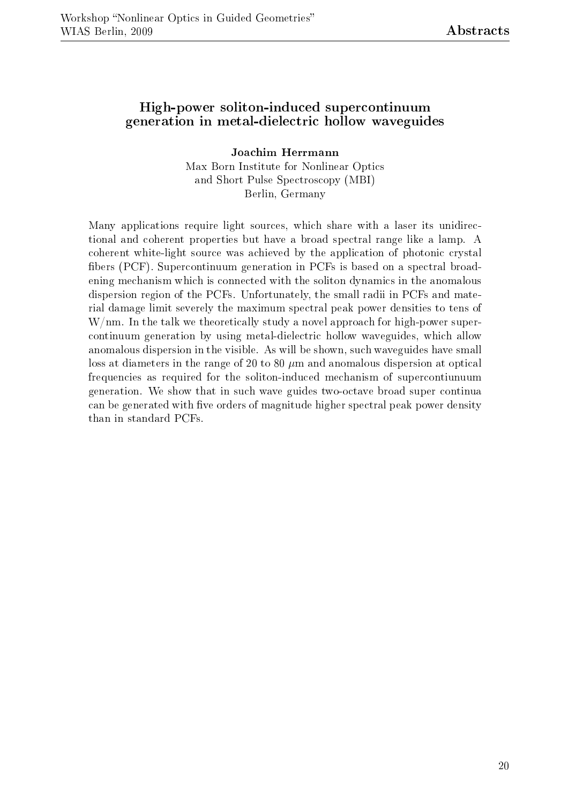#### High-power soliton-induced supercontinuum generation in metal-dielectric hollow waveguides

Joachim Herrmann Max Born Institute for Nonlinear Optics and Short Pulse Spectroscopy (MBI) Berlin, Germany

Many applications require light sources, which share with a laser its unidirectional and coherent properties but have a broad spectral range like a lamp. A coherent white-light source was achieved by the application of photonic crystal bers (PCF). Supercontinuum generation in PCFs is based on a spectral broadening mechanism which is connected with the soliton dynamics in the anomalous dispersion region of the PCFs. Unfortunately, the small radii in PCFs and material damage limit severely the maximum spectral peak power densities to tens of W/nm. In the talk we theoretically study a novel approach for high-power supercontinuum generation by using metal-dielectric hollow waveguides, which allow anomalous dispersion in the visible. As will be shown, such waveguides have small loss at diameters in the range of 20 to 80  $\mu$ m and anomalous dispersion at optical frequencies as required for the soliton-induced mechanism of supercontiunuum generation. We show that in such wave guides two-octave broad super continua can be generated with five orders of magnitude higher spectral peak power density than in standard PCFs.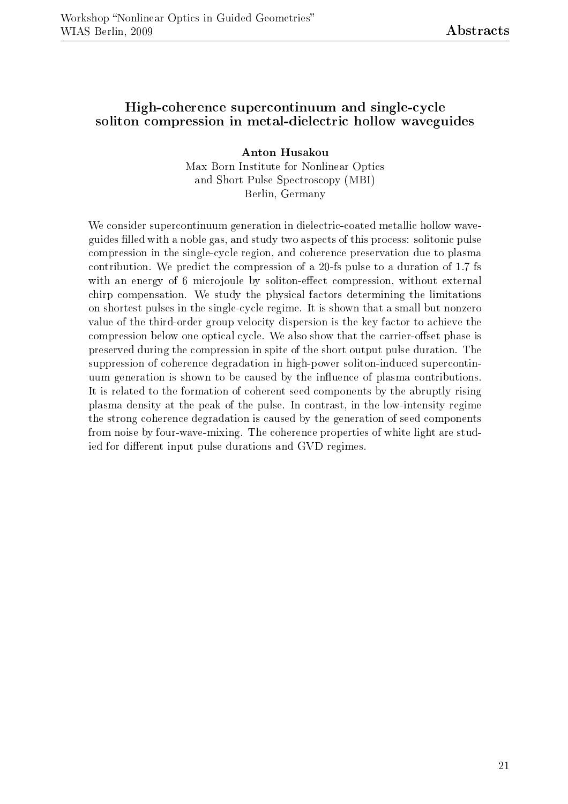#### High-coherence supercontinuum and single-cycle soliton compression in metal-dielectric hollow waveguides

Anton Husakou Max Born Institute for Nonlinear Optics and Short Pulse Spectroscopy (MBI) Berlin, Germany

We consider supercontinuum generation in dielectric-coated metallic hollow waveguides filled with a noble gas, and study two aspects of this process: solitonic pulse compression in the single-cycle region, and coherence preservation due to plasma contribution. We predict the compression of a 20-fs pulse to a duration of 1.7 fs with an energy of 6 microjoule by soliton-effect compression, without external chirp compensation. We study the physical factors determining the limitations on shortest pulses in the single-cycle regime. It is shown that a small but nonzero value of the third-order group velocity dispersion is the key factor to achieve the compression below one optical cycle. We also show that the carrier-offset phase is preserved during the compression in spite of the short output pulse duration. The suppression of coherence degradation in high-power soliton-induced supercontinuum generation is shown to be caused by the influence of plasma contributions. It is related to the formation of coherent seed components by the abruptly rising plasma density at the peak of the pulse. In contrast, in the low-intensity regime the strong coherence degradation is caused by the generation of seed components from noise by four-wave-mixing. The coherence properties of white light are studied for different input pulse durations and GVD regimes.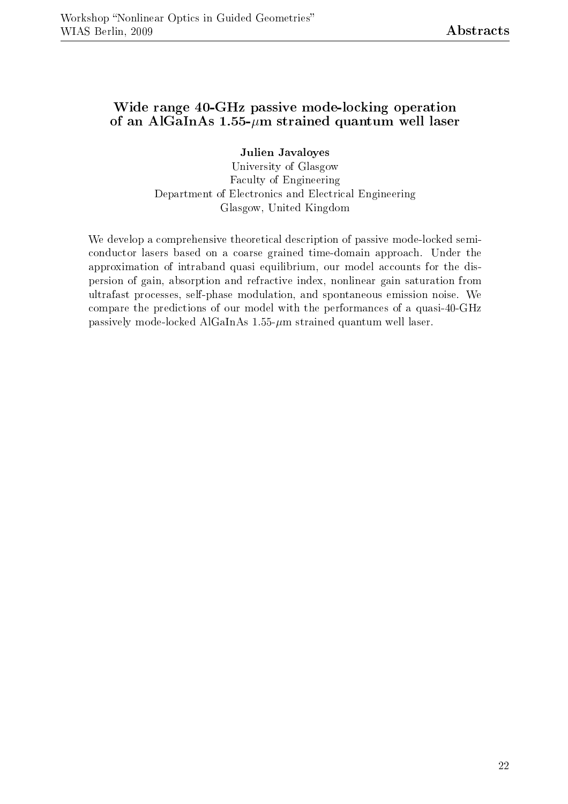#### Wide range 40-GHz passive mode-locking operation of an AlGaInAs  $1.55$ - $\mu$ m strained quantum well laser

Julien Javaloyes

University of Glasgow Faculty of Engineering Department of Electronics and Electrical Engineering Glasgow, United Kingdom

We develop a comprehensive theoretical description of passive mode-locked semiconductor lasers based on a coarse grained time-domain approach. Under the approximation of intraband quasi equilibrium, our model accounts for the dispersion of gain, absorption and refractive index, nonlinear gain saturation from ultrafast processes, self-phase modulation, and spontaneous emission noise. We compare the predictions of our model with the performances of a quasi-40-GHz passively mode-locked AlGaInAs  $1.55-\mu m$  strained quantum well laser.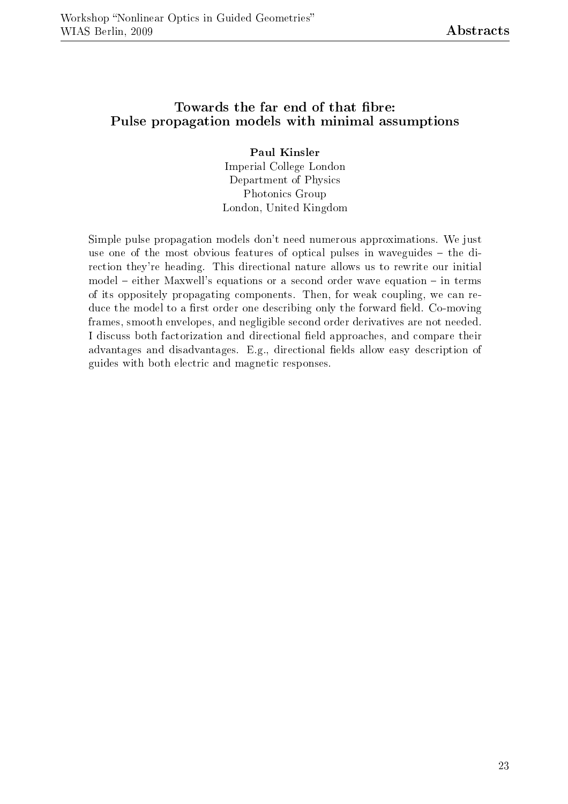#### Towards the far end of that fibre: Pulse propagation models with minimal assumptions

Paul Kinsler Imperial College London Department of Physics Photonics Group London, United Kingdom

Simple pulse propagation models don't need numerous approximations. We just use one of the most obvious features of optical pulses in waveguides  $-$  the direction they're heading. This directional nature allows us to rewrite our initial  $model - either Maxwell's equations or a second order wave equation  $- in terms$$ of its oppositely propagating components. Then, for weak coupling, we can reduce the model to a first order one describing only the forward field. Co-moving frames, smooth envelopes, and negligible second order derivatives are not needed. I discuss both factorization and directional field approaches, and compare their advantages and disadvantages. E.g., directional fields allow easy description of guides with both electric and magnetic responses.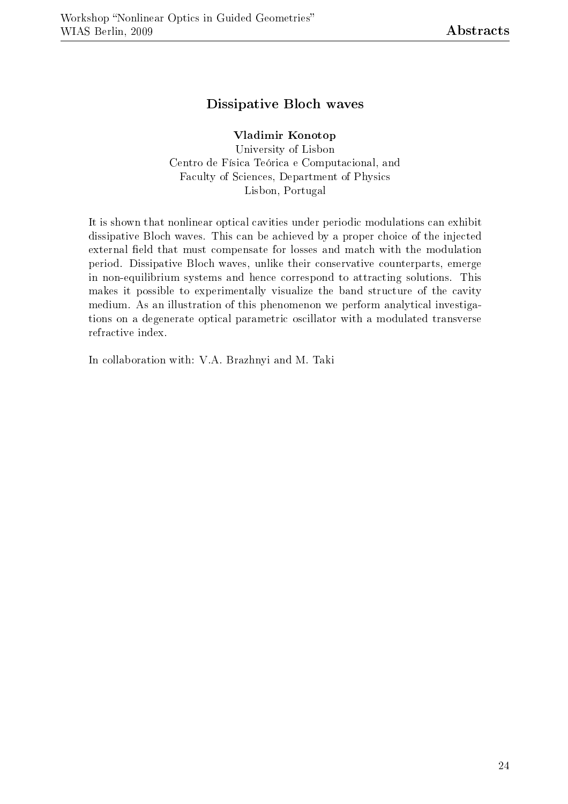#### Dissipative Bloch waves

#### Vladimir Konotop

University of Lisbon Centro de Física Teórica e Computacional, and Faculty of Sciences, Department of Physics Lisbon, Portugal

It is shown that nonlinear optical cavities under periodic modulations can exhibit dissipative Bloch waves. This can be achieved by a proper choice of the injected external field that must compensate for losses and match with the modulation period. Dissipative Bloch waves, unlike their conservative counterparts, emerge in non-equilibrium systems and hence correspond to attracting solutions. This makes it possible to experimentally visualize the band structure of the cavity medium. As an illustration of this phenomenon we perform analytical investigations on a degenerate optical parametric oscillator with a modulated transverse refractive index.

In collaboration with: V.A. Brazhnyi and M. Taki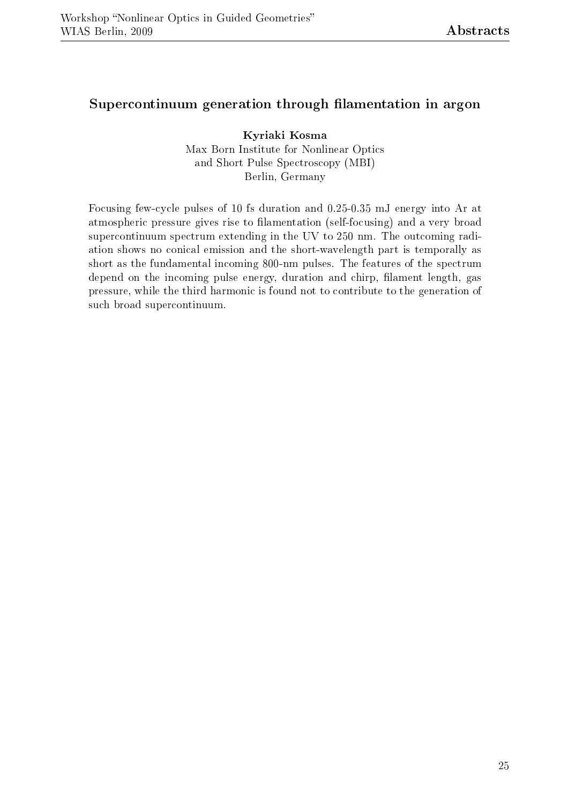#### Supercontinuum generation through filamentation in argon

Kyriaki Kosma Max Born Institute for Nonlinear Optics and Short Pulse Spectroscopy (MBI) Berlin, Germany

Focusing few-cycle pulses of 10 fs duration and 0.25-0.35 mJ energy into Ar at atmospheric pressure gives rise to filamentation (self-focusing) and a very broad supercontinuum spectrum extending in the UV to 250 nm. The outcoming radiation shows no conical emission and the short-wavelength part is temporally as short as the fundamental incoming 800-nm pulses. The features of the spectrum depend on the incoming pulse energy, duration and chirp, filament length, gas pressure, while the third harmonic is found not to contribute to the generation of such broad supercontinuum.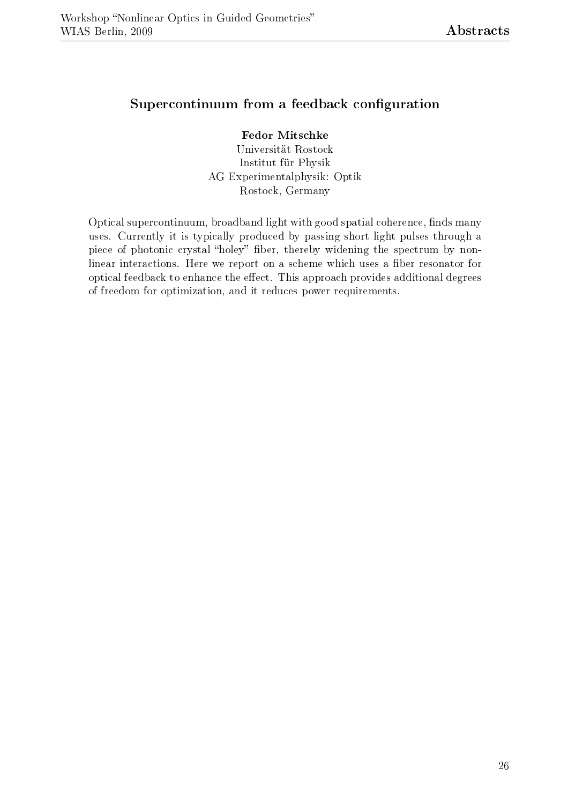#### Supercontinuum from a feedback configuration

#### Fedor Mitschke

Universität Rostock Institut für Physik AG Experimentalphysik: Optik Rostock, Germany

Optical supercontinuum, broadband light with good spatial coherence, finds many uses. Currently it is typically produced by passing short light pulses through a piece of photonic crystal "holey" fiber, thereby widening the spectrum by nonlinear interactions. Here we report on a scheme which uses a fiber resonator for optical feedback to enhance the effect. This approach provides additional degrees of freedom for optimization, and it reduces power requirements.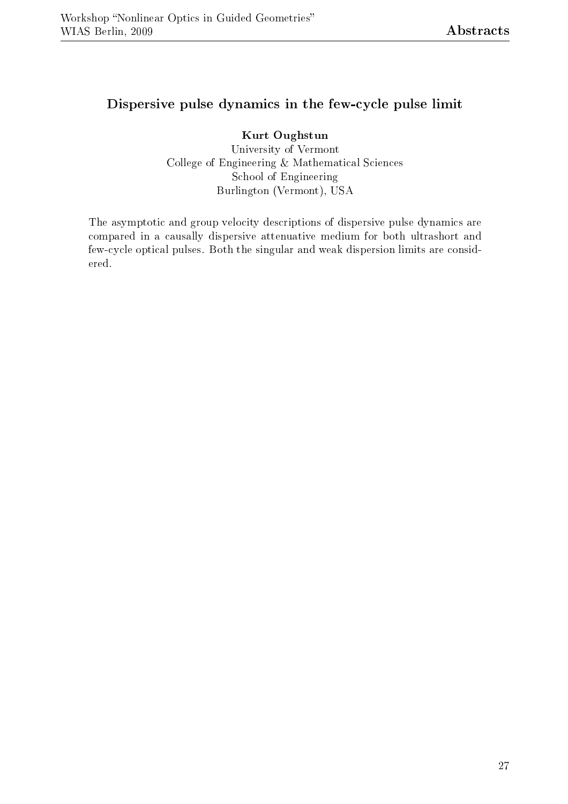#### Dispersive pulse dynamics in the few-cycle pulse limit

Kurt Oughstun University of Vermont College of Engineering & Mathematical Sciences School of Engineering Burlington (Vermont), USA

The asymptotic and group velocity descriptions of dispersive pulse dynamics are compared in a causally dispersive attenuative medium for both ultrashort and few-cycle optical pulses. Both the singular and weak dispersion limits are considered.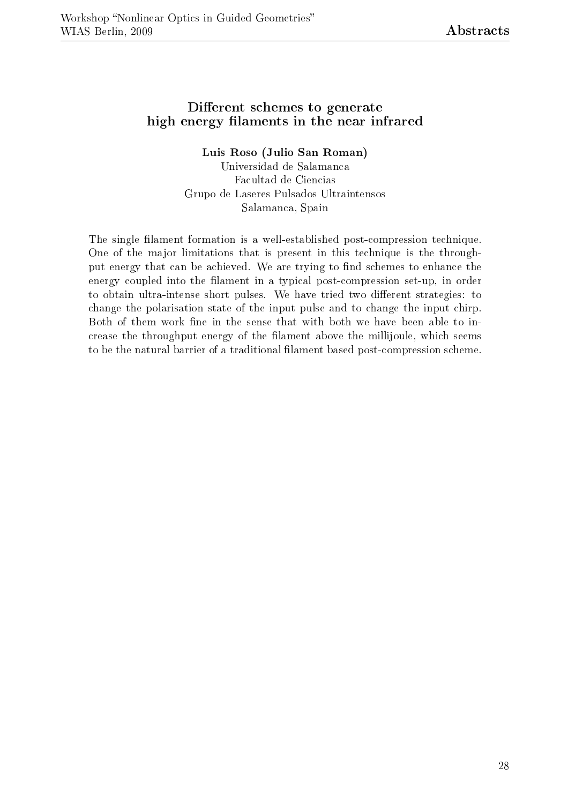#### Different schemes to generate high energy filaments in the near infrared

#### Luis Roso (Julio San Roman)

Universidad de Salamanca Facultad de Ciencias Grupo de Laseres Pulsados Ultraintensos Salamanca, Spain

The single filament formation is a well-established post-compression technique. One of the major limitations that is present in this technique is the throughput energy that can be achieved. We are trying to find schemes to enhance the energy coupled into the filament in a typical post-compression set-up, in order to obtain ultra-intense short pulses. We have tried two different strategies: to change the polarisation state of the input pulse and to change the input chirp. Both of them work fine in the sense that with both we have been able to increase the throughput energy of the filament above the millijoule, which seems to be the natural barrier of a traditional filament based post-compression scheme.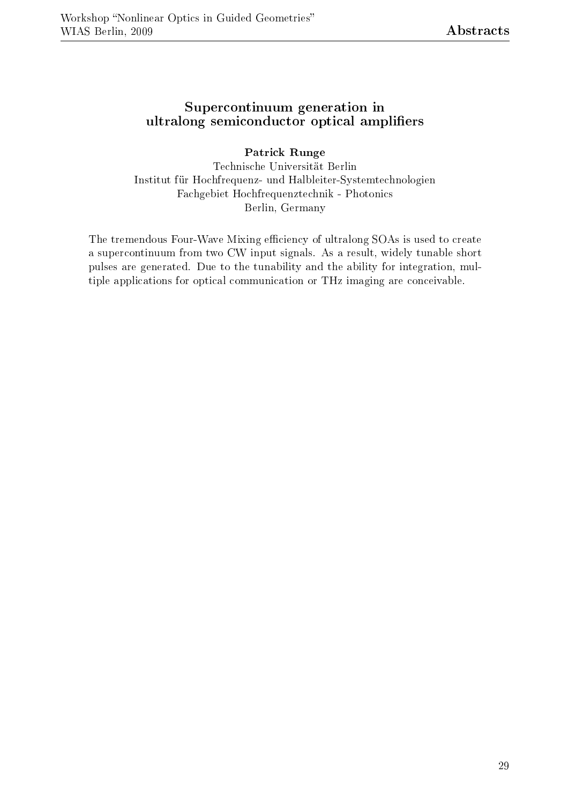#### Supercontinuum generation in ultralong semiconductor optical amplifiers

#### Patrick Runge

Technische Universität Berlin Institut für Hochfrequenz- und Halbleiter-Systemtechnologien Fachgebiet Hochfrequenztechnik - Photonics Berlin, Germany

The tremendous Four-Wave Mixing efficiency of ultralong SOAs is used to create a supercontinuum from two CW input signals. As a result, widely tunable short pulses are generated. Due to the tunability and the ability for integration, multiple applications for optical communication or THz imaging are conceivable.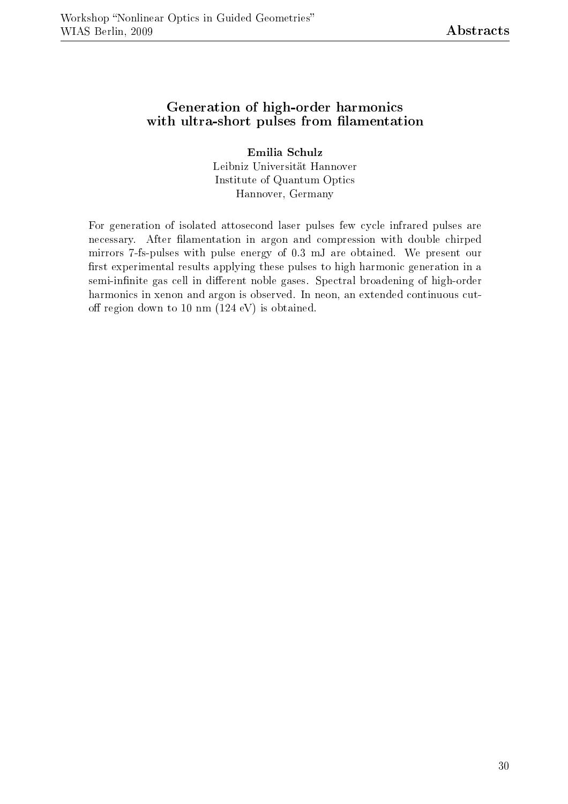#### Generation of high-order harmonics with ultra-short pulses from filamentation

Emilia Schulz Leibniz Universität Hannover Institute of Quantum Optics Hannover, Germany

For generation of isolated attosecond laser pulses few cycle infrared pulses are necessary. After filamentation in argon and compression with double chirped mirrors 7-fs-pulses with pulse energy of 0.3 mJ are obtained. We present our first experimental results applying these pulses to high harmonic generation in a semi-infinite gas cell in different noble gases. Spectral broadening of high-order harmonics in xenon and argon is observed. In neon, an extended continuous cutoff region down to 10 nm  $(124 \text{ eV})$  is obtained.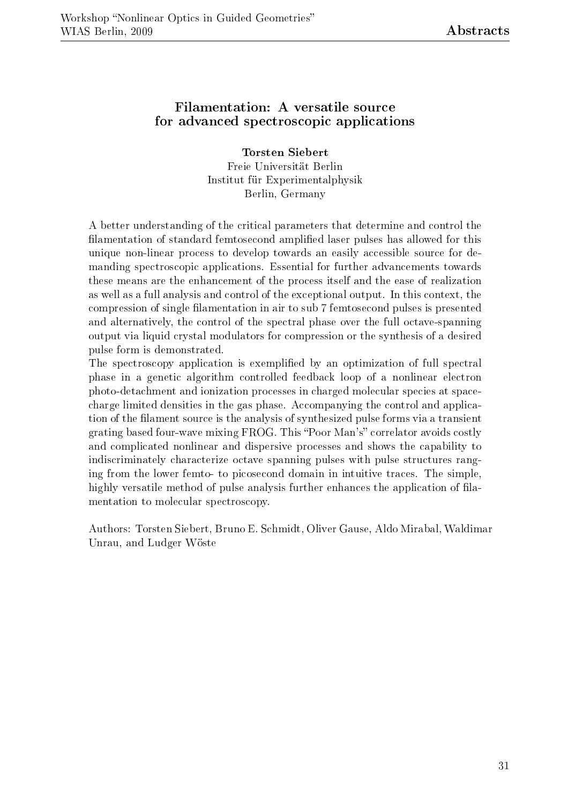#### Filamentation: A versatile source for advanced spectroscopic applications

Torsten Siebert Freie Universität Berlin Institut für Experimentalphysik Berlin, Germany

A better understanding of the critical parameters that determine and control the lamentation of standard femtosecond amplied laser pulses has allowed for this unique non-linear process to develop towards an easily accessible source for demanding spectroscopic applications. Essential for further advancements towards these means are the enhancement of the process itself and the ease of realization as well as a full analysis and control of the exceptional output. In this context, the compression of single lamentation in air to sub 7 femtosecond pulses is presented and alternatively, the control of the spectral phase over the full octave-spanning output via liquid crystal modulators for compression or the synthesis of a desired pulse form is demonstrated.

The spectroscopy application is exemplified by an optimization of full spectral phase in a genetic algorithm controlled feedback loop of a nonlinear electron photo-detachment and ionization processes in charged molecular species at spacecharge limited densities in the gas phase. Accompanying the control and application of the lament source is the analysis of synthesized pulse forms via a transient grating based four-wave mixing FROG. This "Poor Man's" correlator avoids costly and complicated nonlinear and dispersive processes and shows the capability to indiscriminately characterize octave spanning pulses with pulse structures ranging from the lower femto- to picosecond domain in intuitive traces. The simple, highly versatile method of pulse analysis further enhances the application of filamentation to molecular spectroscopy.

Authors: Torsten Siebert, Bruno E. Schmidt, Oliver Gause, Aldo Mirabal, Waldimar Unrau, and Ludger Wöste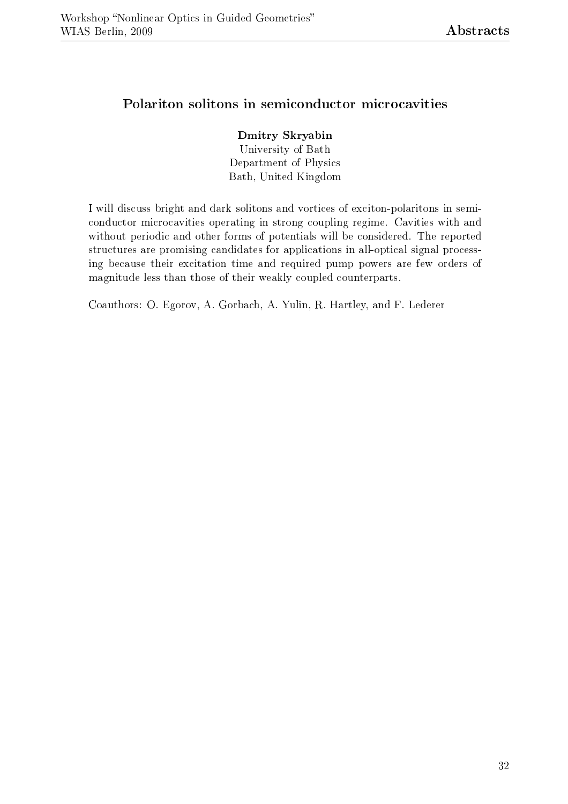#### Polariton solitons in semiconductor microcavities

#### Dmitry Skryabin

University of Bath Department of Physics Bath, United Kingdom

I will discuss bright and dark solitons and vortices of exciton-polaritons in semiconductor microcavities operating in strong coupling regime. Cavities with and without periodic and other forms of potentials will be considered. The reported structures are promising candidates for applications in all-optical signal processing because their excitation time and required pump powers are few orders of magnitude less than those of their weakly coupled counterparts.

Coauthors: O. Egorov, A. Gorbach, A. Yulin, R. Hartley, and F. Lederer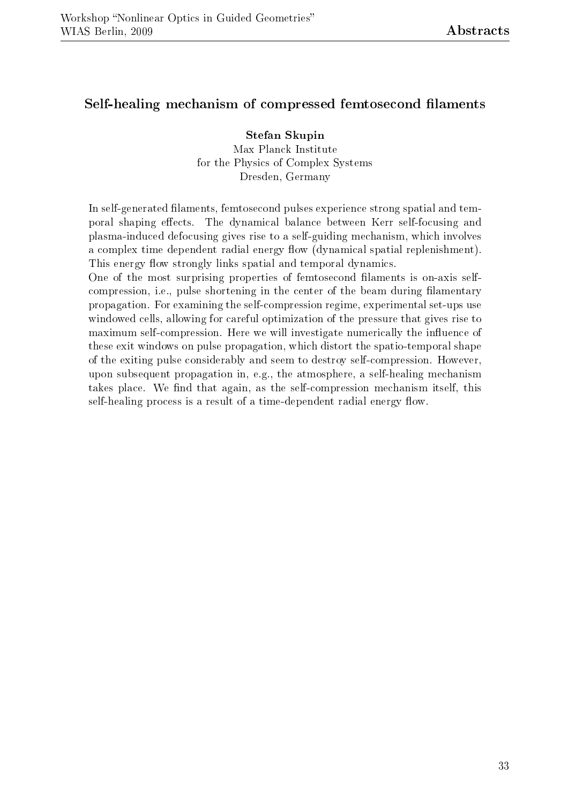#### Self-healing mechanism of compressed femtosecond filaments

Stefan Skupin Max Planck Institute for the Physics of Complex Systems Dresden, Germany

In self-generated filaments, femtosecond pulses experience strong spatial and temporal shaping effects. The dynamical balance between Kerr self-focusing and plasma-induced defocusing gives rise to a self-guiding mechanism, which involves a complex time dependent radial energy flow (dynamical spatial replenishment). This energy flow strongly links spatial and temporal dynamics.

One of the most surprising properties of femtosecond filaments is on-axis selfcompression, i.e., pulse shortening in the center of the beam during filamentary propagation. For examining the self-compression regime, experimental set-ups use windowed cells, allowing for careful optimization of the pressure that gives rise to maximum self-compression. Here we will investigate numerically the influence of these exit windows on pulse propagation, which distort the spatio-temporal shape of the exiting pulse considerably and seem to destroy self-compression. However, upon subsequent propagation in, e.g., the atmosphere, a self-healing mechanism takes place. We find that again, as the self-compression mechanism itself, this self-healing process is a result of a time-dependent radial energy flow.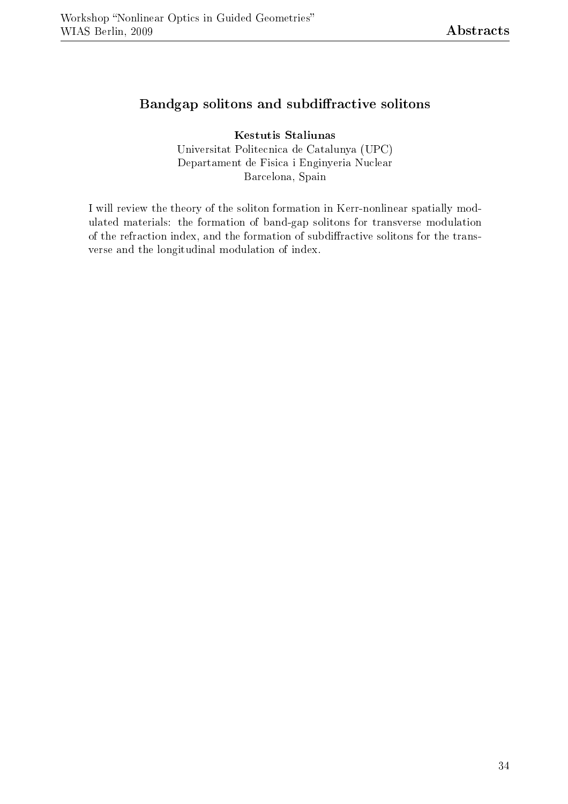#### Bandgap solitons and subdiffractive solitons

Kestutis Staliunas Universitat Politecnica de Catalunya (UPC) Departament de Fisica i Enginyeria Nuclear Barcelona, Spain

I will review the theory of the soliton formation in Kerr-nonlinear spatially modulated materials: the formation of band-gap solitons for transverse modulation of the refraction index, and the formation of subdiffractive solitons for the transverse and the longitudinal modulation of index.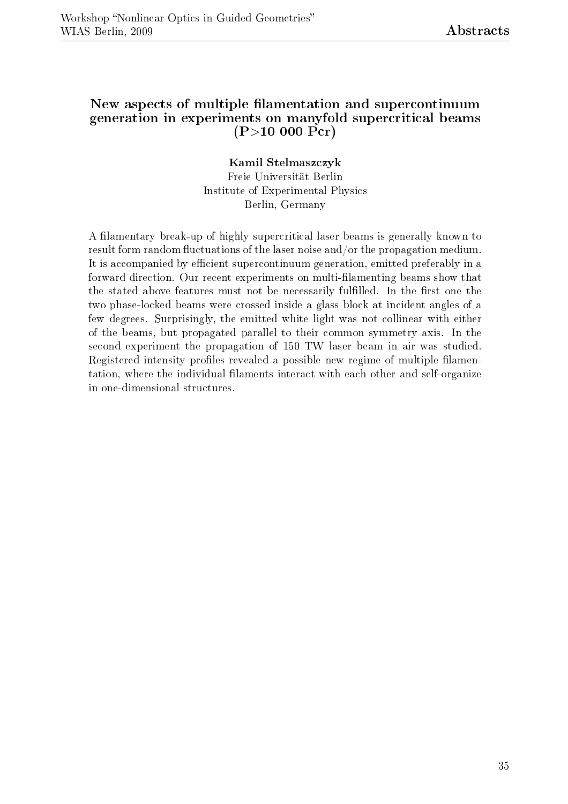#### New aspects of multiple filamentation and supercontinuum generation in experiments on manyfold supercritical beams  $(P>10 000 Pcr)$

#### Kamil Stelmaszczyk

Freie Universität Berlin Institute of Experimental Physics Berlin, Germany

A filamentary break-up of highly supercritical laser beams is generally known to result form random fluctuations of the laser noise and/or the propagation medium. It is accompanied by efficient supercontinuum generation, emitted preferably in a forward direction. Our recent experiments on multi-filamenting beams show that the stated above features must not be necessarily fulfilled. In the first one the two phase-locked beams were crossed inside a glass block at incident angles of a few degrees. Surprisingly, the emitted white light was not collinear with either of the beams, but propagated parallel to their common symmetry axis. In the second experiment the propagation of 150 TW laser beam in air was studied. Registered intensity profiles revealed a possible new regime of multiple filamentation, where the individual filaments interact with each other and self-organize in one-dimensional structures.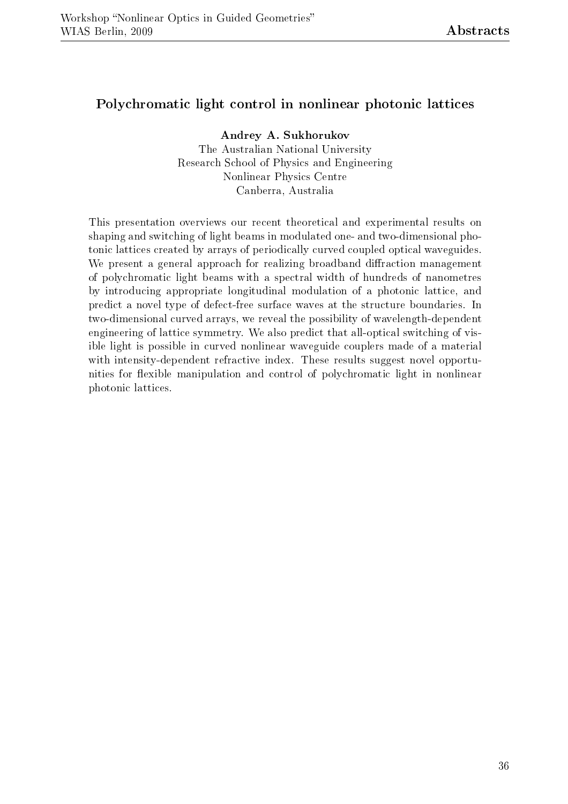#### Polychromatic light control in nonlinear photonic lattices

Andrey A. Sukhorukov The Australian National University Research School of Physics and Engineering Nonlinear Physics Centre Canberra, Australia

This presentation overviews our recent theoretical and experimental results on shaping and switching of light beams in modulated one- and two-dimensional photonic lattices created by arrays of periodically curved coupled optical waveguides. We present a general approach for realizing broadband diffraction management of polychromatic light beams with a spectral width of hundreds of nanometres by introducing appropriate longitudinal modulation of a photonic lattice, and predict a novel type of defect-free surface waves at the structure boundaries. In two-dimensional curved arrays, we reveal the possibility of wavelength-dependent engineering of lattice symmetry. We also predict that all-optical switching of visible light is possible in curved nonlinear waveguide couplers made of a material with intensity-dependent refractive index. These results suggest novel opportunities for flexible manipulation and control of polychromatic light in nonlinear photonic lattices.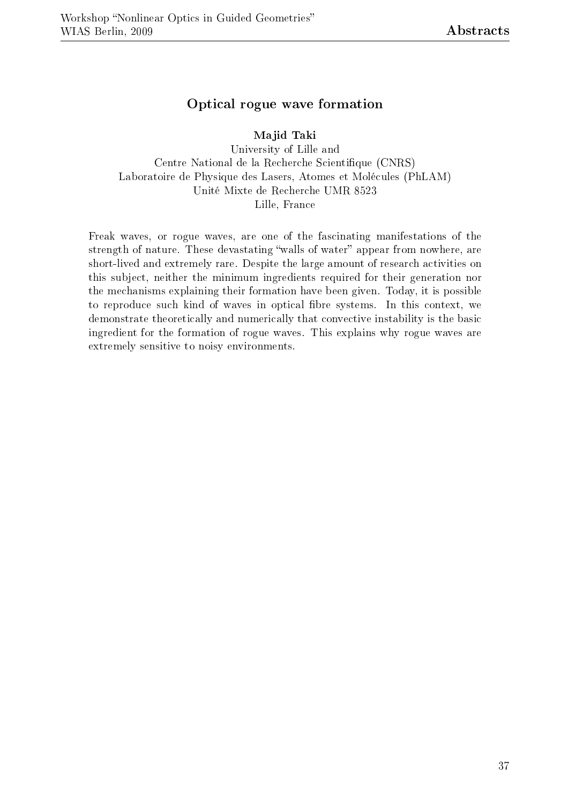#### Optical rogue wave formation

Majid Taki

University of Lille and Centre National de la Recherche Scientique (CNRS) Laboratoire de Physique des Lasers, Atomes et Molécules (PhLAM) Unité Mixte de Recherche UMR 8523 Lille, France

Freak waves, or rogue waves, are one of the fascinating manifestations of the strength of nature. These devastating "walls of water" appear from nowhere, are short-lived and extremely rare. Despite the large amount of research activities on this subject, neither the minimum ingredients required for their generation nor the mechanisms explaining their formation have been given. Today, it is possible to reproduce such kind of waves in optical fibre systems. In this context, we demonstrate theoretically and numerically that convective instability is the basic ingredient for the formation of rogue waves. This explains why rogue waves are extremely sensitive to noisy environments.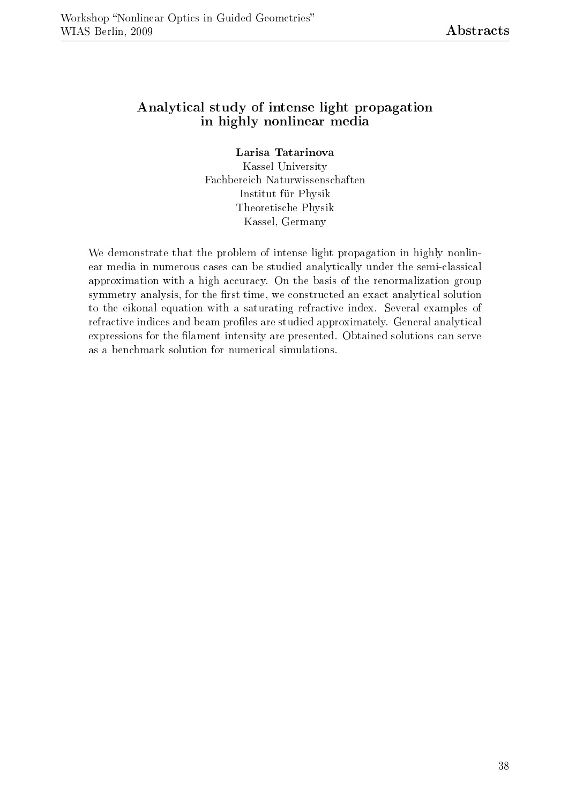#### Analytical study of intense light propagation in highly nonlinear media

Larisa Tatarinova

Kassel University Fachbereich Naturwissenschaften Institut für Physik Theoretische Physik Kassel, Germany

We demonstrate that the problem of intense light propagation in highly nonlinear media in numerous cases can be studied analytically under the semi-classical approximation with a high accuracy. On the basis of the renormalization group symmetry analysis, for the first time, we constructed an exact analytical solution to the eikonal equation with a saturating refractive index. Several examples of refractive indices and beam profiles are studied approximately. General analytical expressions for the filament intensity are presented. Obtained solutions can serve as a benchmark solution for numerical simulations.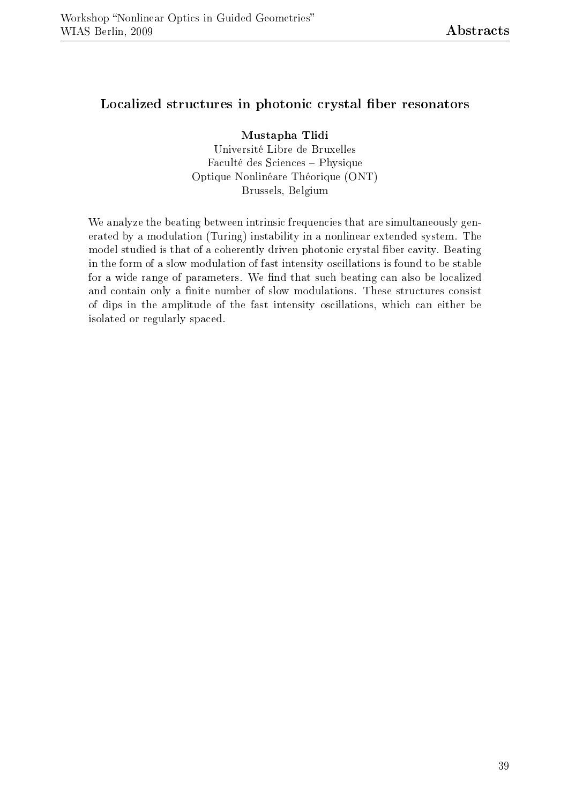#### Localized structures in photonic crystal fiber resonators

Mustapha Tlidi Université Libre de Bruxelles Faculté des Sciences Physique Optique Nonlinéare Théorique (ONT) Brussels, Belgium

We analyze the beating between intrinsic frequencies that are simultaneously generated by a modulation (Turing) instability in a nonlinear extended system. The model studied is that of a coherently driven photonic crystal fiber cavity. Beating in the form of a slow modulation of fast intensity oscillations is found to be stable for a wide range of parameters. We find that such beating can also be localized and contain only a finite number of slow modulations. These structures consist of dips in the amplitude of the fast intensity oscillations, which can either be isolated or regularly spaced.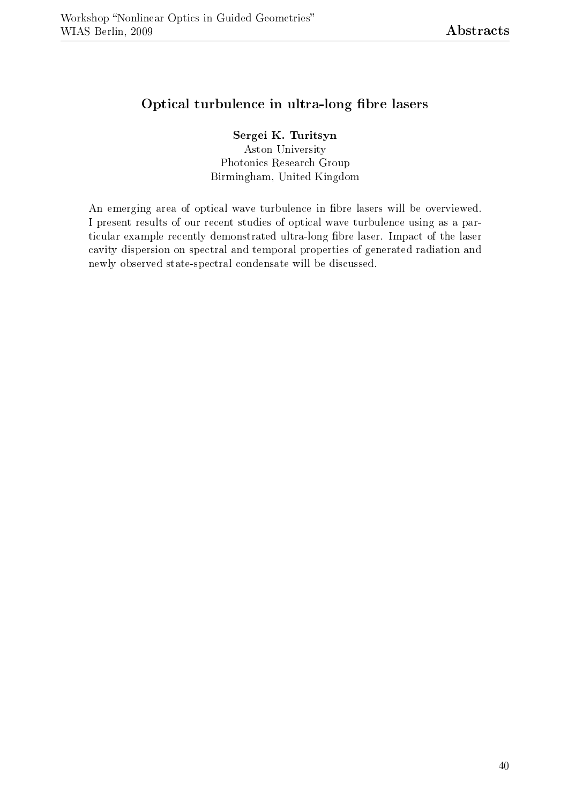#### Optical turbulence in ultra-long fibre lasers

#### Sergei K. Turitsyn

Aston University Photonics Research Group Birmingham, United Kingdom

An emerging area of optical wave turbulence in fibre lasers will be overviewed. I present results of our recent studies of optical wave turbulence using as a particular example recently demonstrated ultra-long fibre laser. Impact of the laser cavity dispersion on spectral and temporal properties of generated radiation and newly observed state-spectral condensate will be discussed.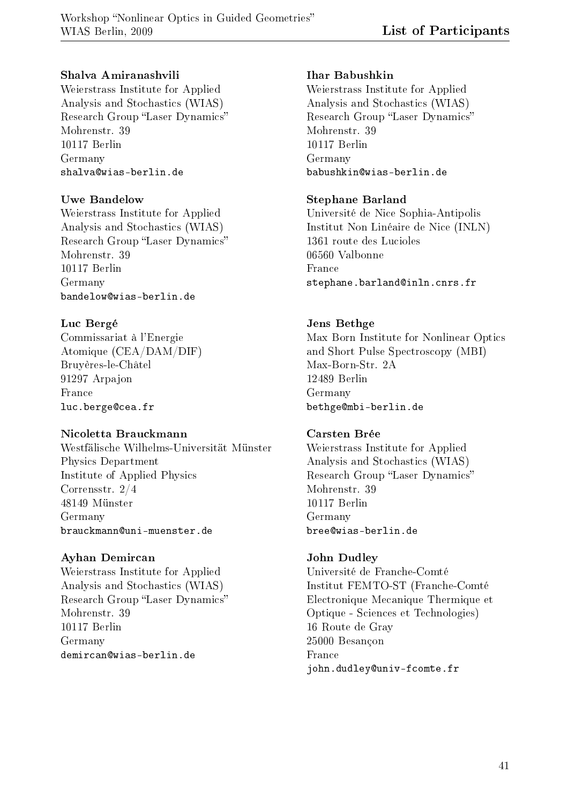#### Shalva Amiranashvili

Weierstrass Institute for Applied Analysis and Stochastics (WIAS) Research Group "Laser Dynamics" Mohrenstr. 39 10117 Berlin Germany shalva@wias-berlin.de

#### Uwe Bandelow

Weierstrass Institute for Applied Analysis and Stochastics (WIAS) Research Group "Laser Dynamics" Mohrenstr. 39 10117 Berlin Germany bandelow@wias-berlin.de

#### Luc Bergé

Commissariat à l'Energie Atomique (CEA/DAM/DIF) Bruyères-le-Châtel 91297 Arpajon France luc.berge@cea.fr

#### Nicoletta Brauckmann

Westfälische Wilhelms-Universität Münster Physics Department Institute of Applied Physics Corrensstr. 2/4 48149 Münster Germany brauckmann@uni-muenster.de

#### Ayhan Demircan

Weierstrass Institute for Applied Analysis and Stochastics (WIAS) Research Group "Laser Dynamics" Mohrenstr. 39 10117 Berlin Germany demircan@wias-berlin.de

#### Ihar Babushkin

Weierstrass Institute for Applied Analysis and Stochastics (WIAS) Research Group "Laser Dynamics" Mohrenstr. 39 10117 Berlin Germany babushkin@wias-berlin.de

#### Stephane Barland

Université de Nice Sophia-Antipolis Institut Non Linéaire de Nice (INLN) 1361 route des Lucioles 06560 Valbonne France stephane.barland@inln.cnrs.fr

#### Jens Bethge

Max Born Institute for Nonlinear Optics and Short Pulse Spectroscopy (MBI) Max-Born-Str. 2A 12489 Berlin Germany bethge@mbi-berlin.de

#### Carsten Brée

Weierstrass Institute for Applied Analysis and Stochastics (WIAS) Research Group "Laser Dynamics" Mohrenstr. 39 10117 Berlin Germany bree@wias-berlin.de

#### John Dudley

Université de Franche-Comté Institut FEMTO-ST (Franche-Comté Electronique Mecanique Thermique et Optique - Sciences et Technologies) 16 Route de Gray 25000 Besançon France john.dudley@univ-fcomte.fr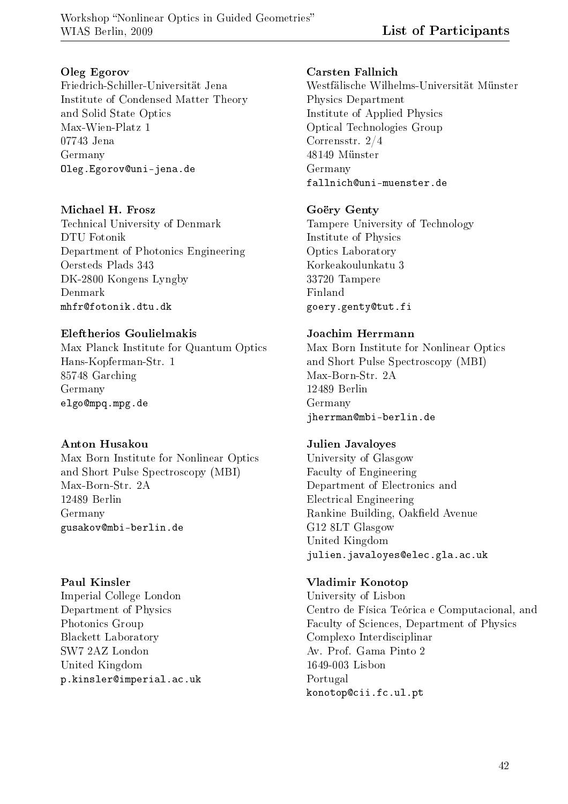#### Oleg Egorov

Friedrich-Schiller-Universität Jena Institute of Condensed Matter Theory and Solid State Optics Max-Wien-Platz 1 07743 Jena Germany Oleg.Egorov@uni-jena.de

#### Michael H. Frosz

Technical University of Denmark DTU Fotonik Department of Photonics Engineering Oersteds Plads 343 DK-2800 Kongens Lyngby Denmark mhfr@fotonik.dtu.dk

#### Eleftherios Goulielmakis

Max Planck Institute for Quantum Optics Hans-Kopferman-Str. 1 85748 Garching Germany elgo@mpq.mpg.de

#### Anton Husakou

Max Born Institute for Nonlinear Optics and Short Pulse Spectroscopy (MBI) Max-Born-Str. 2A 12489 Berlin Germany gusakov@mbi-berlin.de

#### Paul Kinsler

Imperial College London Department of Physics Photonics Group Blackett Laboratory SW7 2AZ London United Kingdom p.kinsler@imperial.ac.uk

#### Carsten Fallnich

Westfälische Wilhelms-Universität Münster Physics Department Institute of Applied Physics Optical Technologies Group Corrensstr. 2/4 48149 Münster Germany fallnich@uni-muenster.de

#### Goëry Genty

Tampere University of Technology Institute of Physics Optics Laboratory Korkeakoulunkatu 3 33720 Tampere Finland goery.genty@tut.fi

#### Joachim Herrmann

Max Born Institute for Nonlinear Optics and Short Pulse Spectroscopy (MBI) Max-Born-Str. 2A 12489 Berlin Germany jherrman@mbi-berlin.de

#### Julien Javaloyes

University of Glasgow Faculty of Engineering Department of Electronics and Electrical Engineering Rankine Building, Oakfield Avenue G12 8LT Glasgow United Kingdom julien.javaloyes@elec.gla.ac.uk

#### Vladimir Konotop

University of Lisbon Centro de Física Teórica e Computacional, and Faculty of Sciences, Department of Physics Complexo Interdisciplinar Av. Prof. Gama Pinto 2 1649-003 Lisbon Portugal konotop@cii.fc.ul.pt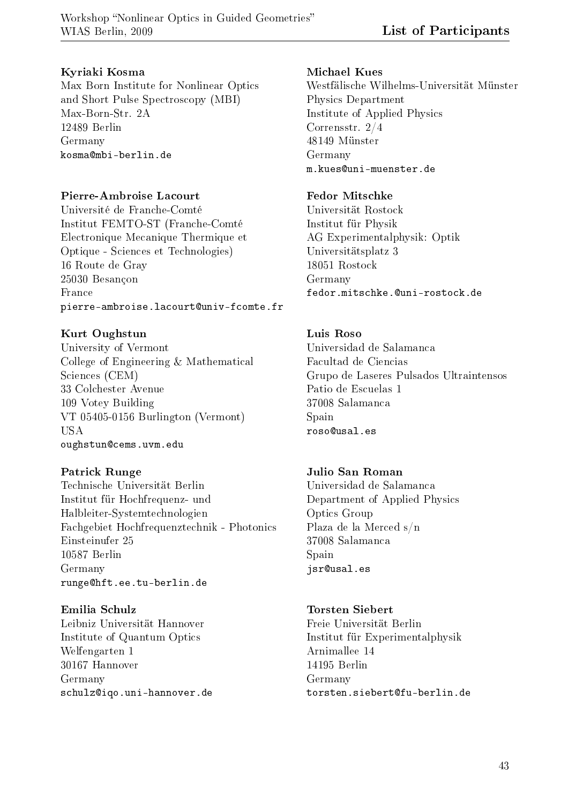#### Kyriaki Kosma

Max Born Institute for Nonlinear Optics and Short Pulse Spectroscopy (MBI) Max-Born-Str. 2A 12489 Berlin Germany kosma@mbi-berlin.de

#### Pierre-Ambroise Lacourt

Université de Franche-Comté Institut FEMTO-ST (Franche-Comté Electronique Mecanique Thermique et Optique - Sciences et Technologies) 16 Route de Gray 25030 Besançon France pierre-ambroise.lacourt@univ-fcomte.fr

#### Kurt Oughstun

University of Vermont College of Engineering & Mathematical Sciences (CEM) 33 Colchester Avenue 109 Votey Building VT 05405-0156 Burlington (Vermont) USA oughstun@cems.uvm.edu

#### Patrick Runge

Technische Universität Berlin Institut für Hochfrequenz- und Halbleiter-Systemtechnologien Fachgebiet Hochfrequenztechnik - Photonics Einsteinufer 25 10587 Berlin Germany runge@hft.ee.tu-berlin.de

Emilia Schulz Leibniz Universität Hannover Institute of Quantum Optics Welfengarten 1 30167 Hannover Germany schulz@iqo.uni-hannover.de

#### Michael Kues

Westfälische Wilhelms-Universität Münster Physics Department Institute of Applied Physics Corrensstr. 2/4 48149 Münster Germany m.kues@uni-muenster.de

#### Fedor Mitschke

Universität Rostock Institut für Physik AG Experimentalphysik: Optik Universitätsplatz 3 18051 Rostock Germany fedor.mitschke.@uni-rostock.de

#### Luis Roso

Universidad de Salamanca Facultad de Ciencias Grupo de Laseres Pulsados Ultraintensos Patio de Escuelas 1 37008 Salamanca Spain roso@usal.es

#### Julio San Roman

Universidad de Salamanca Department of Applied Physics Optics Group Plaza de la Merced s/n 37008 Salamanca Spain jsr@usal.es

#### Torsten Siebert

Freie Universität Berlin Institut für Experimentalphysik Arnimallee 14 14195 Berlin Germany torsten.siebert@fu-berlin.de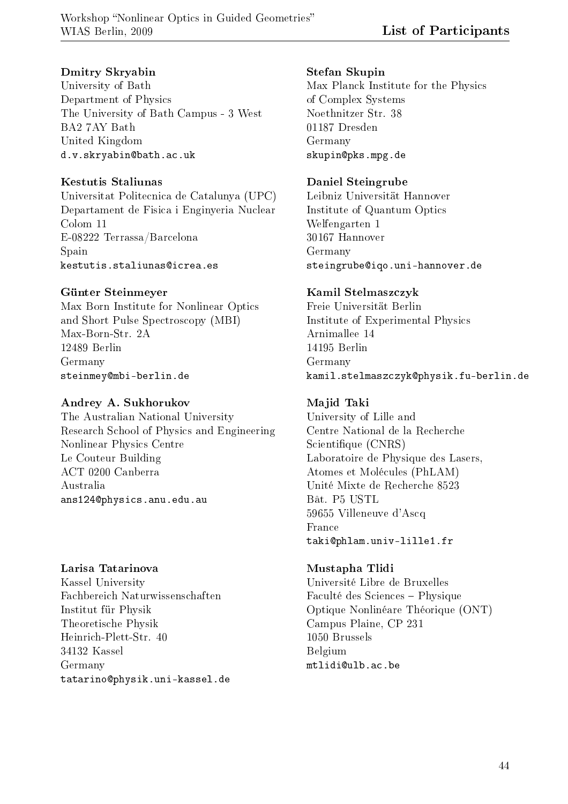#### Dmitry Skryabin

University of Bath Department of Physics The University of Bath Campus - 3 West BA2 7AY Bath United Kingdom d.v.skryabin@bath.ac.uk

#### Kestutis Staliunas

Universitat Politecnica de Catalunya (UPC) Departament de Fisica i Enginyeria Nuclear Colom 11 E-08222 Terrassa/Barcelona Spain kestutis.staliunas@icrea.es

#### Günter Steinmeyer

Max Born Institute for Nonlinear Optics and Short Pulse Spectroscopy (MBI) Max-Born-Str. 2A 12489 Berlin Germany steinmey@mbi-berlin.de

#### Andrey A. Sukhorukov

The Australian National University Research School of Physics and Engineering Nonlinear Physics Centre Le Couteur Building ACT 0200 Canberra Australia ans124@physics.anu.edu.au

#### Larisa Tatarinova

Kassel University Fachbereich Naturwissenschaften Institut für Physik Theoretische Physik Heinrich-Plett-Str. 40 34132 Kassel Germany tatarino@physik.uni-kassel.de

#### Stefan Skupin

Max Planck Institute for the Physics of Complex Systems Noethnitzer Str. 38 01187 Dresden Germany skupin@pks.mpg.de

#### Daniel Steingrube

Leibniz Universität Hannover Institute of Quantum Optics Welfengarten 1 30167 Hannover Germany steingrube@iqo.uni-hannover.de

#### Kamil Stelmaszczyk

Freie Universität Berlin Institute of Experimental Physics Arnimallee 14 14195 Berlin Germany kamil.stelmaszczyk@physik.fu-berlin.de

#### Majid Taki

University of Lille and Centre National de la Recherche Scientifique (CNRS) Laboratoire de Physique des Lasers, Atomes et Molécules (PhLAM) Unité Mixte de Recherche 8523 Bât. P5 USTL 59655 Villeneuve d'Ascq France taki@phlam.univ-lille1.fr

#### Mustapha Tlidi

Université Libre de Bruxelles Faculté des Sciences Physique Optique Nonlinéare Théorique (ONT) Campus Plaine, CP 231 1050 Brussels Belgium mtlidi@ulb.ac.be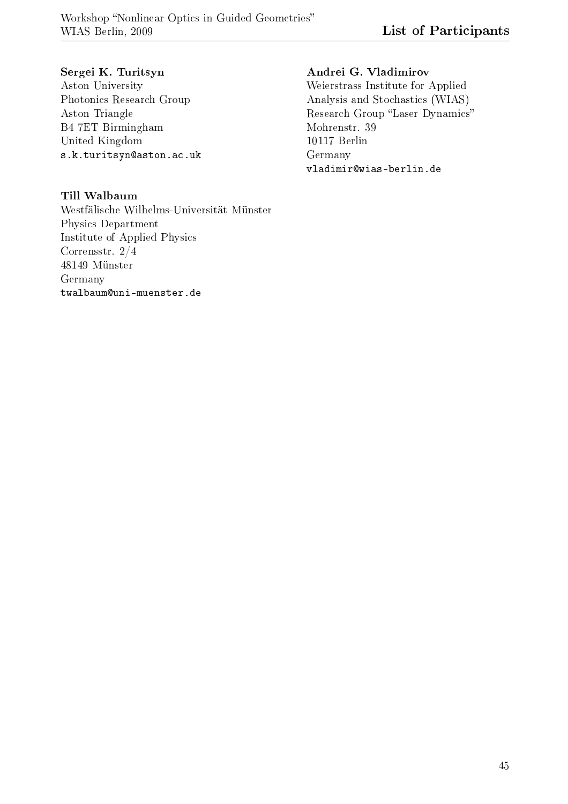#### Sergei K. Turitsyn

Aston University Photonics Research Group Aston Triangle B4 7ET Birmingham United Kingdom s.k.turitsyn@aston.ac.uk

#### Till Walbaum

Westfälische Wilhelms-Universität Münster Physics Department Institute of Applied Physics Corrensstr. 2/4 48149 Münster Germany twalbaum@uni-muenster.de

#### Andrei G. Vladimirov

Weierstrass Institute for Applied Analysis and Stochastics (WIAS) Research Group "Laser Dynamics" Mohrenstr. 39 10117 Berlin Germany vladimir@wias-berlin.de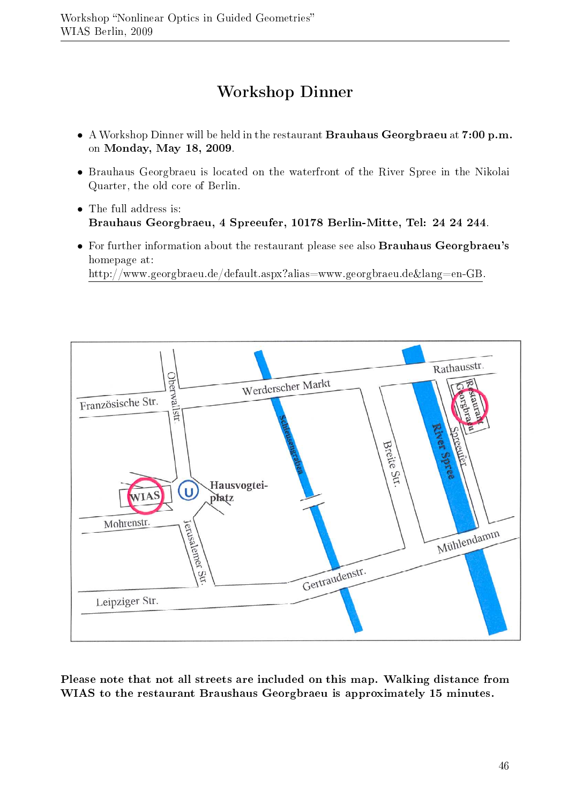## Workshop Dinner

- A Workshop Dinner will be held in the restaurant Brauhaus Georgbraeu at 7:00 p.m. on Monday, May 18, 2009.
- Brauhaus Georgbraeu is located on the waterfront of the River Spree in the Nikolai Quarter, the old core of Berlin.
- The full address is: Brauhaus Georgbraeu, 4 Spreeufer, 10178 Berlin-Mitte, Tel: 24 24 244.
- For further information about the restaurant please see also **Brauhaus Georgbraeu's** homepage at: http://www.georgbraeu.de/default.aspx?alias=www.georgbraeu.de&lang=en-GB.



Please note that not all streets are included on this map. Walking distance from WIAS to the restaurant Braushaus Georgbraeu is approximately 15 minutes.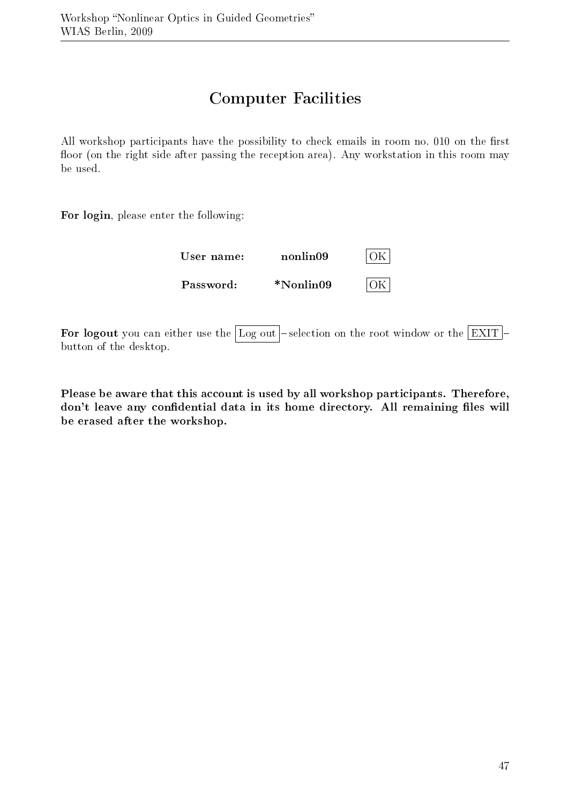## Computer Facilities

All workshop participants have the possibility to check emails in room no. 010 on the first floor (on the right side after passing the reception area). Any workstation in this room may be used.

For login, please enter the following:

| User name: | nonlin09        | $\cap V$ |
|------------|-----------------|----------|
| Password:  | $*$ Nonlin $09$ |          |

For logout you can either use the Log out selection on the root window or the  $|EXIT|$ button of the desktop.

Please be aware that this account is used by all workshop participants. Therefore, don't leave any confidential data in its home directory. All remaining files will be erased after the workshop.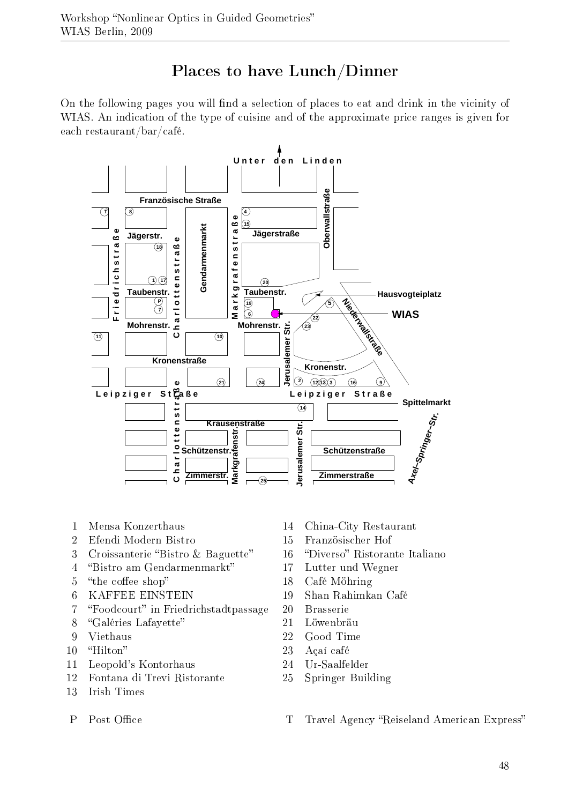## Places to have Lunch/Dinner

On the following pages you will find a selection of places to eat and drink in the vicinity of WIAS. An indication of the type of cuisine and of the approximate price ranges is given for each restaurant/bar/café.



- 1 Mensa Konzerthaus
- 2 Efendi Modern Bistro
- 3 Croissanterie "Bistro & Baguette"
- 4 Bistro am Gendarmenmarkt
- 5 "the coffee shop"
- 6 KAFFEE EINSTEIN
- 7 "Foodcourt" in Friedrichstadtpassage
- 8 "Galéries Lafayette"
- 9 Viethaus
- 10 "Hilton"
- 11 Leopold's Kontorhaus
- 12 Fontana di Trevi Ristorante
- 13 Irish Times
- P Post Office
- 14 China-City Restaurant
- 15 Französischer Hof
- 16 "Diverso" Ristorante Italiano
- 17 Lutter und Wegner
- 18 Café Möhring
- 19 Shan Rahimkan Café
- 20 Brasserie
- 21 Löwenbräu
- 22 Good Time
- 23 Açaí café
- 24 Ur-Saalfelder
- 25 Springer Building
- T Travel Agency "Reiseland American Express"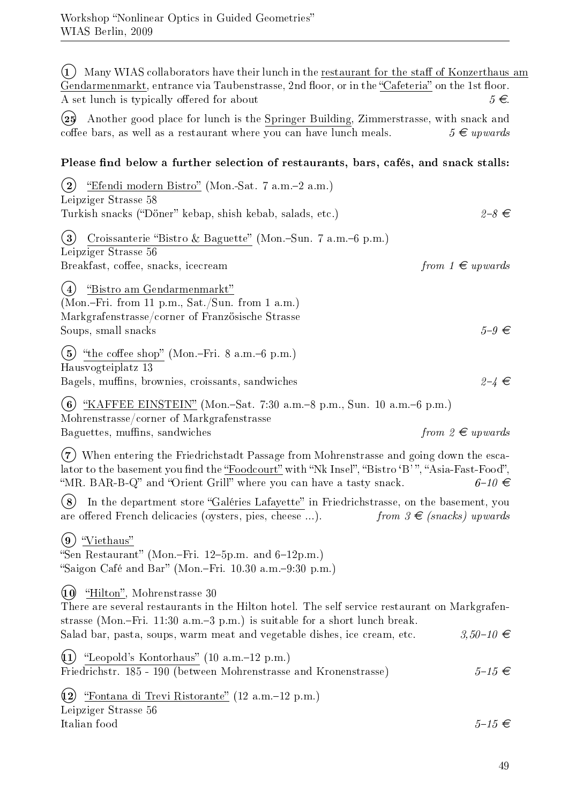(1) Many WIAS collaborators have their lunch in the restaurant for the staff of Konzerthaus am Gendarmenmarkt, entrance via Taubenstrasse, 2nd floor, or in the "Cafeteria" on the 1st floor. A set lunch is typically offered for about  $5 \in$ 

°<sup>25</sup> Another good place for lunch is the Springer Building, Zimmerstrasse, with snack and coffee bars, as well as a restaurant where you can have lunch meals.  $5 \notin upwards$ 

#### Please find below a further selection of restaurants, bars, cafés, and snack stalls:

 $(2)$  "Efendi modern Bistro" (Mon.-Sat. 7 a.m.-2 a.m.) Leipziger Strasse 58 Turkish snacks ("Döner" kebap, shish kebab, salads, etc.)  $2-8 \in$ (3) Croissanterie "Bistro & Baguette" (Mon.-Sun. 7 a.m.-6 p.m.) Leipziger Strasse 56 Breakfast, coffee, snacks, icecream from  $1 \in upwards$ (4) "Bistro am Gendarmenmarkt" (Mon.Fri. from 11 p.m., Sat./Sun. from 1 a.m.) Markgrafenstrasse/corner of Französische Strasse Soups, small snacks  $5-9 \in$  $(5)$  "the coffee shop" (Mon.-Fri. 8 a.m.-6 p.m.) Hausvogteiplatz 13 Bagels, muffins, brownies, croissants, sandwiches  $2-4 \in$ (6) "KAFFEE EINSTEIN" (Mon.-Sat. 7:30 a.m.-8 p.m., Sun. 10 a.m.-6 p.m.)

Mohrenstrasse/corner of Markgrafenstrasse Baguettes, muffins, sandwiches from  $2 \in$  upwards

°<sup>7</sup> When entering the Friedrichstadt Passage from Mohrenstrasse and going down the escalator to the basement you find the "Foodcourt" with "Nk Insel", "Bistro 'B' ", "Asia-Fast-Food". "MR. BAR-B-Q" and "Orient Grill" where you can have a tasty snack.  $6-10 \in$ 

(8) In the department store "Galéries Lafayette" in Friedrichstrasse, on the basement, you are offered French delicacies (oysters, pies, cheese ...). from  $3 \epsilon$  (snacks) upwards

 $(9)$  "Viethaus"

"Sen Restaurant" (Mon.-Fri. 12–5p.m. and  $6-12$ p.m.) "Saigon Café and Bar" (Mon.-Fri.  $10.30$  a.m.-9:30 p.m.)

 $(10)$  "Hilton", Mohrenstrasse 30

There are several restaurants in the Hilton hotel. The self service restaurant on Markgrafenstrasse (Mon.-Fri. 11:30 a.m.-3 p.m.) is suitable for a short lunch break. Salad bar, pasta, soups, warm meat and vegetable dishes, ice cream, etc.  $\qquad \qquad 3,50-10 \in$ 

 $(1)$  "Leopold's Kontorhaus" (10 a.m.–12 p.m.) Friedrichstr. 185 - 190 (between Mohrenstrasse and Kronenstrasse)  $5-15 \in$ 

 $(12)$  "Fontana di Trevi Ristorante" (12 a.m.–12 p.m.) Leipziger Strasse 56 Italian food  $5-15 \in$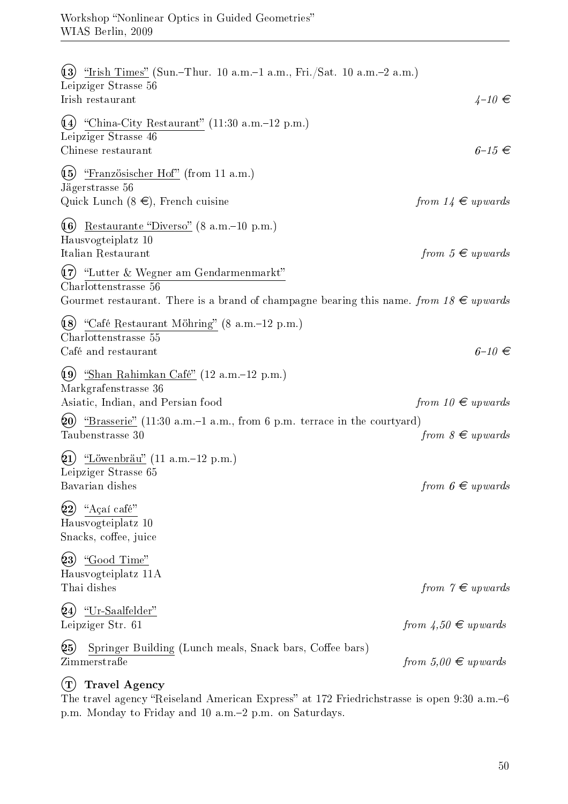| (13)<br>"Irish Times" (Sun.-Thur. 10 a.m.-1 a.m., Fri./Sat. 10 a.m.-2 a.m.)<br>Leipziger Strasse 56                                                              |                                       |
|------------------------------------------------------------------------------------------------------------------------------------------------------------------|---------------------------------------|
| Irish restaurant                                                                                                                                                 | $4-10 \in$                            |
| (14)<br>"China-City Restaurant" (11:30 a.m.–12 p.m.)<br>Leipziger Strasse 46<br>Chinese restaurant                                                               | $6-15 \in$                            |
| (15)<br>"Französischer Hof" (from 11 a.m.)<br>Jägerstrasse 56                                                                                                    |                                       |
| Quick Lunch $(8 \infty)$ , French cuisine                                                                                                                        | from $14 \in upwards$                 |
| (16)<br>Restaurante "Diverso" (8 a.m.–10 p.m.)<br>Hausvogteiplatz 10                                                                                             |                                       |
| Italian Restaurant                                                                                                                                               | from $5 \in$ upwards                  |
| $(17)$ "Lutter & Wegner am Gendarmenmarkt"<br>Charlottenstrasse 56<br>Gourmet restaurant. There is a brand of champagne bearing this name. from $18 \in upwards$ |                                       |
| (8) "Café Restaurant Möhring" (8 a.m.–12 p.m.)<br>Charlottenstrasse 55<br>Café and restaurant                                                                    | $6-10 \in$                            |
| (19)<br><u>"Shan Rahimkan Café"</u> (12 a.m.–12 p.m.)<br>Markgrafenstrasse 36<br>Asiatic, Indian, and Persian food                                               | from $10 \in upwards$                 |
| (20)<br>"Brasserie" (11:30 a.m.-1 a.m., from 6 p.m. terrace in the courtyard)                                                                                    |                                       |
| Taubenstrasse 30                                                                                                                                                 | from $8 \in upwards$                  |
| $(21)$ "Löwenbräu" (11 a.m.–12 p.m.)<br>Leipziger Strasse 65                                                                                                     |                                       |
| Bavarian dishes                                                                                                                                                  | from $6 \in$ upwards                  |
| (22)<br>"Açaí café"<br>Hausvogteiplatz 10<br>Snacks, coffee, juice                                                                                               |                                       |
| (23)<br>"Good Time"                                                                                                                                              |                                       |
| Hausvogteiplatz 11A                                                                                                                                              |                                       |
| Thai dishes                                                                                                                                                      | from $\gamma \in \mathfrak{u}$ pwards |
| "Ur-Saalfelder"<br>(24)<br>Leipziger Str. 61                                                                                                                     | from $\angle 4,50 \in upwards$        |
| (25)<br>Springer Building (Lunch meals, Snack bars, Coffee bars)<br>Zimmerstraße                                                                                 | from $5,00 \in upwards$               |

#### (T) Travel Agency

The travel agency "Reiseland American Express" at 172 Friedrichstrasse is open 9:30 a.m.-6 p.m. Monday to Friday and 10 a.m.2 p.m. on Saturdays.